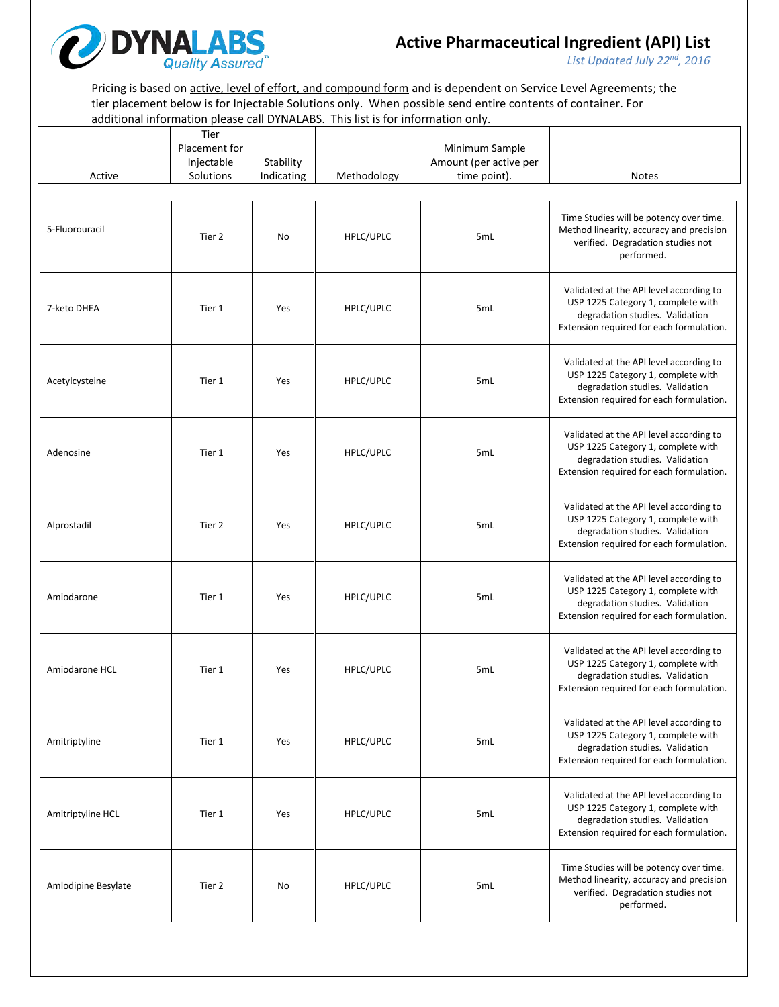

*List Updated July 22nd, 2016*

Pricing is based on active, level of effort, and compound form and is dependent on Service Level Agreements; the tier placement below is for *Injectable Solutions only*. When possible send entire contents of container. For additional information please call DYNALABS. This list is for information only.

| Active              | Tier<br>Placement for<br>Injectable<br>Solutions | Stability<br>Indicating | Methodology | Minimum Sample<br>Amount (per active per<br>time point). | <b>Notes</b>                                                                                                                                                 |
|---------------------|--------------------------------------------------|-------------------------|-------------|----------------------------------------------------------|--------------------------------------------------------------------------------------------------------------------------------------------------------------|
| 5-Fluorouracil      | Tier 2                                           | No                      | HPLC/UPLC   | 5mL                                                      | Time Studies will be potency over time.<br>Method linearity, accuracy and precision<br>verified. Degradation studies not<br>performed.                       |
| 7-keto DHEA         | Tier 1                                           | Yes                     | HPLC/UPLC   | 5mL                                                      | Validated at the API level according to<br>USP 1225 Category 1, complete with<br>degradation studies. Validation<br>Extension required for each formulation. |
| Acetylcysteine      | Tier 1                                           | Yes                     | HPLC/UPLC   | 5mL                                                      | Validated at the API level according to<br>USP 1225 Category 1, complete with<br>degradation studies. Validation<br>Extension required for each formulation. |
| Adenosine           | Tier 1                                           | Yes                     | HPLC/UPLC   | 5mL                                                      | Validated at the API level according to<br>USP 1225 Category 1, complete with<br>degradation studies. Validation<br>Extension required for each formulation. |
| Alprostadil         | Tier 2                                           | Yes                     | HPLC/UPLC   | 5mL                                                      | Validated at the API level according to<br>USP 1225 Category 1, complete with<br>degradation studies. Validation<br>Extension required for each formulation. |
| Amiodarone          | Tier 1                                           | Yes                     | HPLC/UPLC   | 5mL                                                      | Validated at the API level according to<br>USP 1225 Category 1, complete with<br>degradation studies. Validation<br>Extension required for each formulation. |
| Amiodarone HCL      | Tier 1                                           | Yes                     | HPLC/UPLC   | 5mL                                                      | Validated at the API level according to<br>USP 1225 Category 1, complete with<br>degradation studies. Validation<br>Extension required for each formulation. |
| Amitriptyline       | Tier 1                                           | Yes                     | HPLC/UPLC   | 5mL                                                      | Validated at the API level according to<br>USP 1225 Category 1, complete with<br>degradation studies. Validation<br>Extension required for each formulation. |
| Amitriptyline HCL   | Tier 1                                           | Yes                     | HPLC/UPLC   | 5mL                                                      | Validated at the API level according to<br>USP 1225 Category 1, complete with<br>degradation studies. Validation<br>Extension required for each formulation. |
| Amlodipine Besylate | Tier 2                                           | No                      | HPLC/UPLC   | 5 <sub>mL</sub>                                          | Time Studies will be potency over time.<br>Method linearity, accuracy and precision<br>verified. Degradation studies not<br>performed.                       |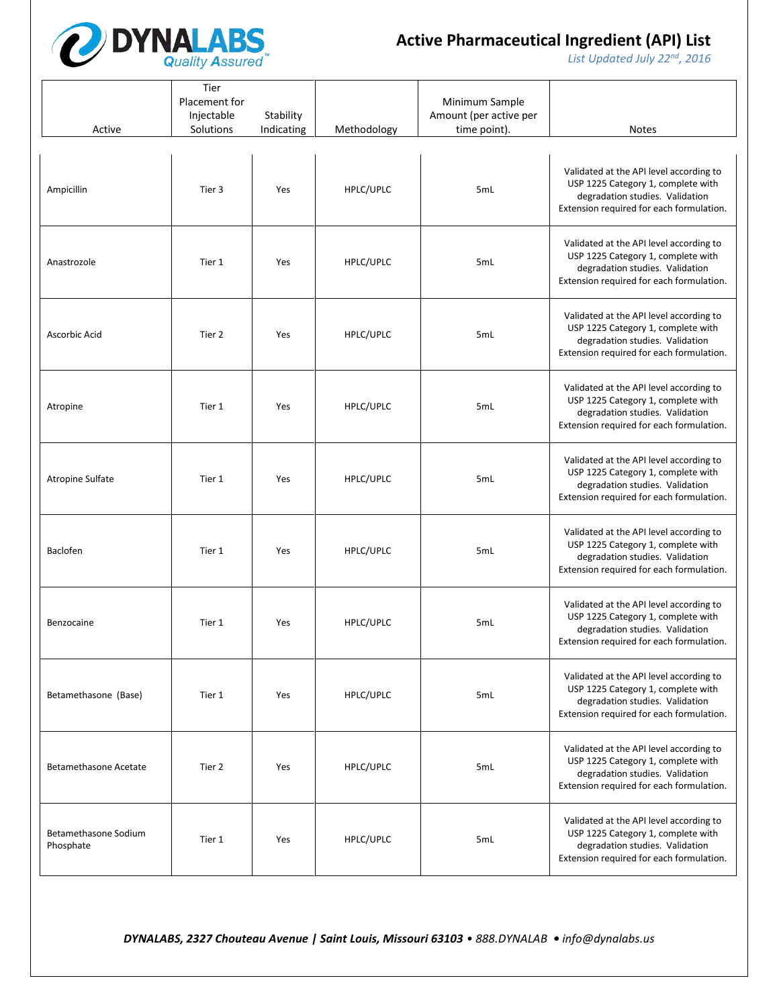

*List Updated July 22nd, 2016*

| Active                            | Tier<br>Placement for<br>Injectable<br>Solutions | Stability<br>Indicating | Methodology | Minimum Sample<br>Amount (per active per<br>time point). | <b>Notes</b>                                                                                                                                                 |
|-----------------------------------|--------------------------------------------------|-------------------------|-------------|----------------------------------------------------------|--------------------------------------------------------------------------------------------------------------------------------------------------------------|
| Ampicillin                        | Tier 3                                           | Yes                     | HPLC/UPLC   | 5mL                                                      | Validated at the API level according to<br>USP 1225 Category 1, complete with<br>degradation studies. Validation<br>Extension required for each formulation. |
| Anastrozole                       | Tier 1                                           | Yes                     | HPLC/UPLC   | 5mL                                                      | Validated at the API level according to<br>USP 1225 Category 1, complete with<br>degradation studies. Validation<br>Extension required for each formulation. |
| Ascorbic Acid                     | Tier 2                                           | Yes                     | HPLC/UPLC   | 5mL                                                      | Validated at the API level according to<br>USP 1225 Category 1, complete with<br>degradation studies. Validation<br>Extension required for each formulation. |
| Atropine                          | Tier 1                                           | Yes                     | HPLC/UPLC   | 5mL                                                      | Validated at the API level according to<br>USP 1225 Category 1, complete with<br>degradation studies. Validation<br>Extension required for each formulation. |
| Atropine Sulfate                  | Tier 1                                           | Yes                     | HPLC/UPLC   | 5mL                                                      | Validated at the API level according to<br>USP 1225 Category 1, complete with<br>degradation studies. Validation<br>Extension required for each formulation. |
| Baclofen                          | Tier 1                                           | Yes                     | HPLC/UPLC   | 5mL                                                      | Validated at the API level according to<br>USP 1225 Category 1, complete with<br>degradation studies. Validation<br>Extension required for each formulation. |
| Benzocaine                        | Tier 1                                           | Yes                     | HPLC/UPLC   | 5mL                                                      | Validated at the API level according to<br>USP 1225 Category 1, complete with<br>degradation studies. Validation<br>Extension required for each formulation. |
| Betamethasone (Base)              | Tier 1                                           | Yes                     | HPLC/UPLC   | 5mL                                                      | Validated at the API level according to<br>USP 1225 Category 1, complete with<br>degradation studies. Validation<br>Extension required for each formulation. |
| <b>Betamethasone Acetate</b>      | Tier 2                                           | Yes                     | HPLC/UPLC   | 5mL                                                      | Validated at the API level according to<br>USP 1225 Category 1, complete with<br>degradation studies. Validation<br>Extension required for each formulation. |
| Betamethasone Sodium<br>Phosphate | Tier 1                                           | Yes                     | HPLC/UPLC   | 5mL                                                      | Validated at the API level according to<br>USP 1225 Category 1, complete with<br>degradation studies. Validation<br>Extension required for each formulation. |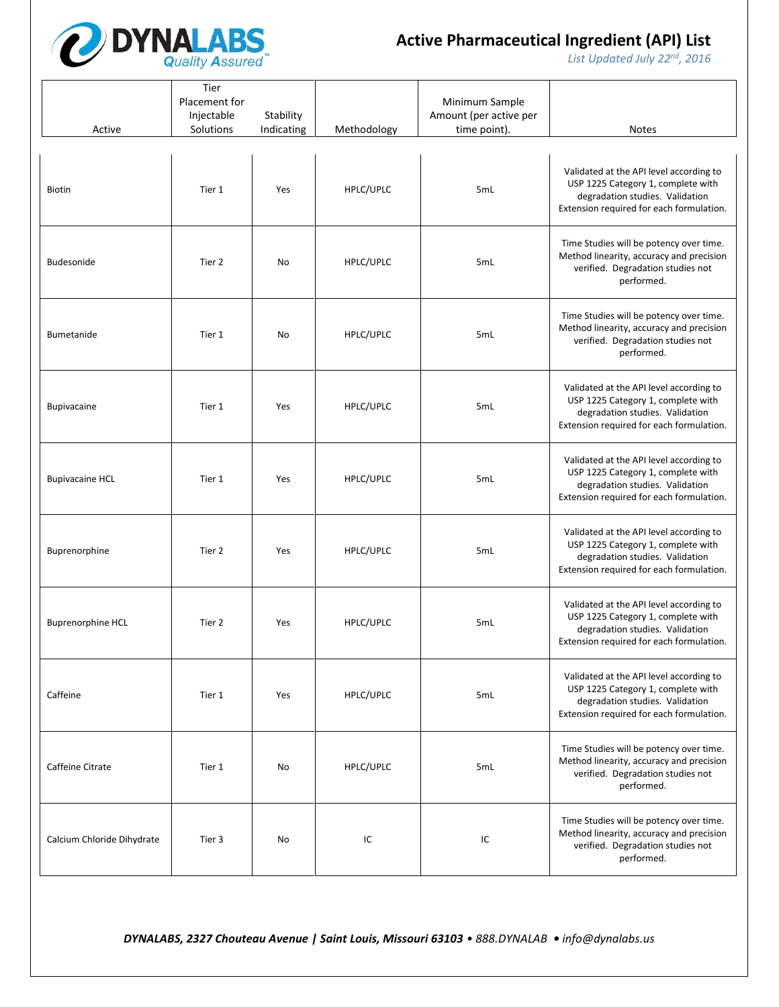

*List Updated July 22nd, 2016*

| Active                     | Tier<br>Placement for<br>Injectable<br>Solutions | Stability<br>Indicating | Methodology | Minimum Sample<br>Amount (per active per<br>time point). | Notes                                                                                                                                                        |
|----------------------------|--------------------------------------------------|-------------------------|-------------|----------------------------------------------------------|--------------------------------------------------------------------------------------------------------------------------------------------------------------|
| <b>Biotin</b>              | Tier 1                                           | Yes                     | HPLC/UPLC   | 5mL                                                      | Validated at the API level according to<br>USP 1225 Category 1, complete with<br>degradation studies. Validation<br>Extension required for each formulation. |
| Budesonide                 | Tier 2                                           | No                      | HPLC/UPLC   | 5mL                                                      | Time Studies will be potency over time.<br>Method linearity, accuracy and precision<br>verified. Degradation studies not<br>performed.                       |
| Bumetanide                 | Tier 1                                           | No                      | HPLC/UPLC   | 5mL                                                      | Time Studies will be potency over time.<br>Method linearity, accuracy and precision<br>verified. Degradation studies not<br>performed.                       |
| <b>Bupivacaine</b>         | Tier 1                                           | Yes                     | HPLC/UPLC   | 5mL                                                      | Validated at the API level according to<br>USP 1225 Category 1, complete with<br>degradation studies. Validation<br>Extension required for each formulation. |
| <b>Bupivacaine HCL</b>     | Tier 1                                           | Yes                     | HPLC/UPLC   | 5mL                                                      | Validated at the API level according to<br>USP 1225 Category 1, complete with<br>degradation studies. Validation<br>Extension required for each formulation. |
| Buprenorphine              | Tier 2                                           | Yes                     | HPLC/UPLC   | 5mL                                                      | Validated at the API level according to<br>USP 1225 Category 1, complete with<br>degradation studies. Validation<br>Extension required for each formulation. |
| <b>Buprenorphine HCL</b>   | Tier 2                                           | Yes                     | HPLC/UPLC   | 5mL                                                      | Validated at the API level according to<br>USP 1225 Category 1, complete with<br>degradation studies. Validation<br>Extension required for each formulation. |
| Caffeine                   | Tier 1                                           | Yes                     | HPLC/UPLC   | 5mL                                                      | Validated at the API level according to<br>USP 1225 Category 1, complete with<br>degradation studies. Validation<br>Extension required for each formulation. |
| Caffeine Citrate           | Tier 1                                           | No                      | HPLC/UPLC   | 5mL                                                      | Time Studies will be potency over time.<br>Method linearity, accuracy and precision<br>verified. Degradation studies not<br>performed.                       |
| Calcium Chloride Dihydrate | Tier 3                                           | No                      | IC          | IC                                                       | Time Studies will be potency over time.<br>Method linearity, accuracy and precision<br>verified. Degradation studies not<br>performed.                       |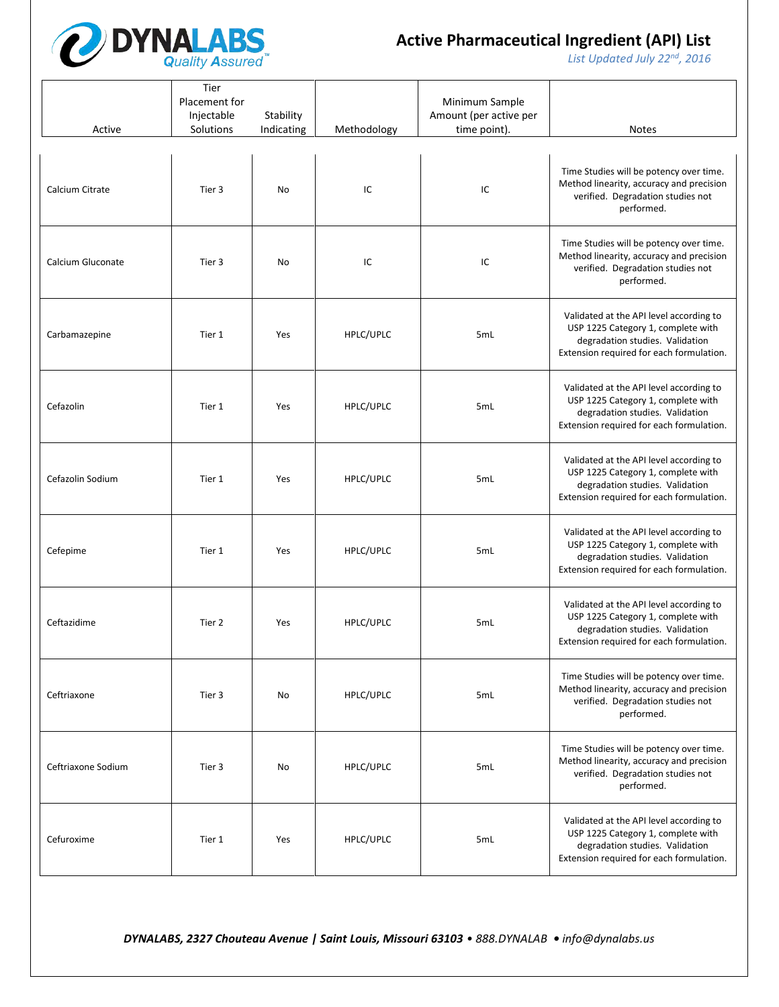

*List Updated July 22nd, 2016*

| Active             | Tier<br>Placement for<br>Injectable<br>Solutions | Stability<br>Indicating | Methodology | Minimum Sample<br>Amount (per active per<br>time point). | <b>Notes</b>                                                                                                                                                 |
|--------------------|--------------------------------------------------|-------------------------|-------------|----------------------------------------------------------|--------------------------------------------------------------------------------------------------------------------------------------------------------------|
| Calcium Citrate    | Tier 3                                           | No                      | IC          | IC                                                       | Time Studies will be potency over time.<br>Method linearity, accuracy and precision<br>verified. Degradation studies not<br>performed.                       |
| Calcium Gluconate  | Tier 3                                           | No                      | IC          | IC                                                       | Time Studies will be potency over time.<br>Method linearity, accuracy and precision<br>verified. Degradation studies not<br>performed.                       |
| Carbamazepine      | Tier 1                                           | Yes                     | HPLC/UPLC   | 5mL                                                      | Validated at the API level according to<br>USP 1225 Category 1, complete with<br>degradation studies. Validation<br>Extension required for each formulation. |
| Cefazolin          | Tier 1                                           | Yes                     | HPLC/UPLC   | 5mL                                                      | Validated at the API level according to<br>USP 1225 Category 1, complete with<br>degradation studies. Validation<br>Extension required for each formulation. |
| Cefazolin Sodium   | Tier 1                                           | Yes                     | HPLC/UPLC   | 5mL                                                      | Validated at the API level according to<br>USP 1225 Category 1, complete with<br>degradation studies. Validation<br>Extension required for each formulation. |
| Cefepime           | Tier 1                                           | Yes                     | HPLC/UPLC   | 5mL                                                      | Validated at the API level according to<br>USP 1225 Category 1, complete with<br>degradation studies. Validation<br>Extension required for each formulation. |
| Ceftazidime        | Tier 2                                           | Yes                     | HPLC/UPLC   | 5mL                                                      | Validated at the API level according to<br>USP 1225 Category 1, complete with<br>degradation studies. Validation<br>Extension required for each formulation. |
| Ceftriaxone        | Tier 3                                           | No                      | HPLC/UPLC   | 5mL                                                      | Time Studies will be potency over time.<br>Method linearity, accuracy and precision<br>verified. Degradation studies not<br>performed.                       |
| Ceftriaxone Sodium | Tier 3                                           | No                      | HPLC/UPLC   | 5mL                                                      | Time Studies will be potency over time.<br>Method linearity, accuracy and precision<br>verified. Degradation studies not<br>performed.                       |
| Cefuroxime         | Tier 1                                           | Yes                     | HPLC/UPLC   | 5mL                                                      | Validated at the API level according to<br>USP 1225 Category 1, complete with<br>degradation studies. Validation<br>Extension required for each formulation. |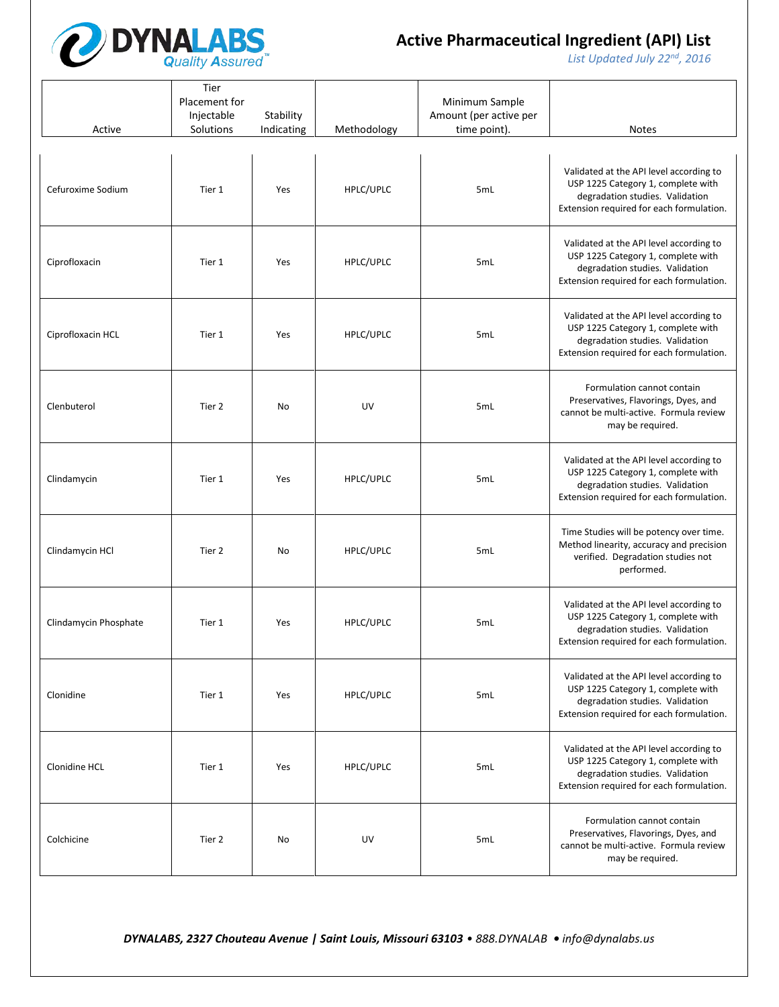

*List Updated July 22nd, 2016*

| Active                | Tier<br>Placement for<br>Injectable<br>Solutions | Stability<br>Indicating | Methodology | Minimum Sample<br>Amount (per active per<br>time point). | <b>Notes</b>                                                                                                                                                 |
|-----------------------|--------------------------------------------------|-------------------------|-------------|----------------------------------------------------------|--------------------------------------------------------------------------------------------------------------------------------------------------------------|
| Cefuroxime Sodium     | Tier 1                                           | Yes                     | HPLC/UPLC   | 5mL                                                      | Validated at the API level according to<br>USP 1225 Category 1, complete with<br>degradation studies. Validation<br>Extension required for each formulation. |
| Ciprofloxacin         | Tier 1                                           | Yes                     | HPLC/UPLC   | 5mL                                                      | Validated at the API level according to<br>USP 1225 Category 1, complete with<br>degradation studies. Validation<br>Extension required for each formulation. |
| Ciprofloxacin HCL     | Tier 1                                           | Yes                     | HPLC/UPLC   | 5mL                                                      | Validated at the API level according to<br>USP 1225 Category 1, complete with<br>degradation studies. Validation<br>Extension required for each formulation. |
| Clenbuterol           | Tier 2                                           | No                      | UV          | 5mL                                                      | Formulation cannot contain<br>Preservatives, Flavorings, Dyes, and<br>cannot be multi-active. Formula review<br>may be required.                             |
| Clindamycin           | Tier 1                                           | Yes                     | HPLC/UPLC   | 5mL                                                      | Validated at the API level according to<br>USP 1225 Category 1, complete with<br>degradation studies. Validation<br>Extension required for each formulation. |
| Clindamycin HCl       | Tier 2                                           | No                      | HPLC/UPLC   | 5mL                                                      | Time Studies will be potency over time.<br>Method linearity, accuracy and precision<br>verified. Degradation studies not<br>performed.                       |
| Clindamycin Phosphate | Tier 1                                           | Yes                     | HPLC/UPLC   | 5mL                                                      | Validated at the API level according to<br>USP 1225 Category 1, complete with<br>degradation studies. Validation<br>Extension required for each formulation. |
| Clonidine             | Tier 1                                           | Yes                     | HPLC/UPLC   | 5mL                                                      | Validated at the API level according to<br>USP 1225 Category 1, complete with<br>degradation studies. Validation<br>Extension required for each formulation. |
| Clonidine HCL         | Tier 1                                           | Yes                     | HPLC/UPLC   | 5mL                                                      | Validated at the API level according to<br>USP 1225 Category 1, complete with<br>degradation studies. Validation<br>Extension required for each formulation. |
| Colchicine            | Tier 2                                           | No                      | UV          | 5mL                                                      | Formulation cannot contain<br>Preservatives, Flavorings, Dyes, and<br>cannot be multi-active. Formula review<br>may be required.                             |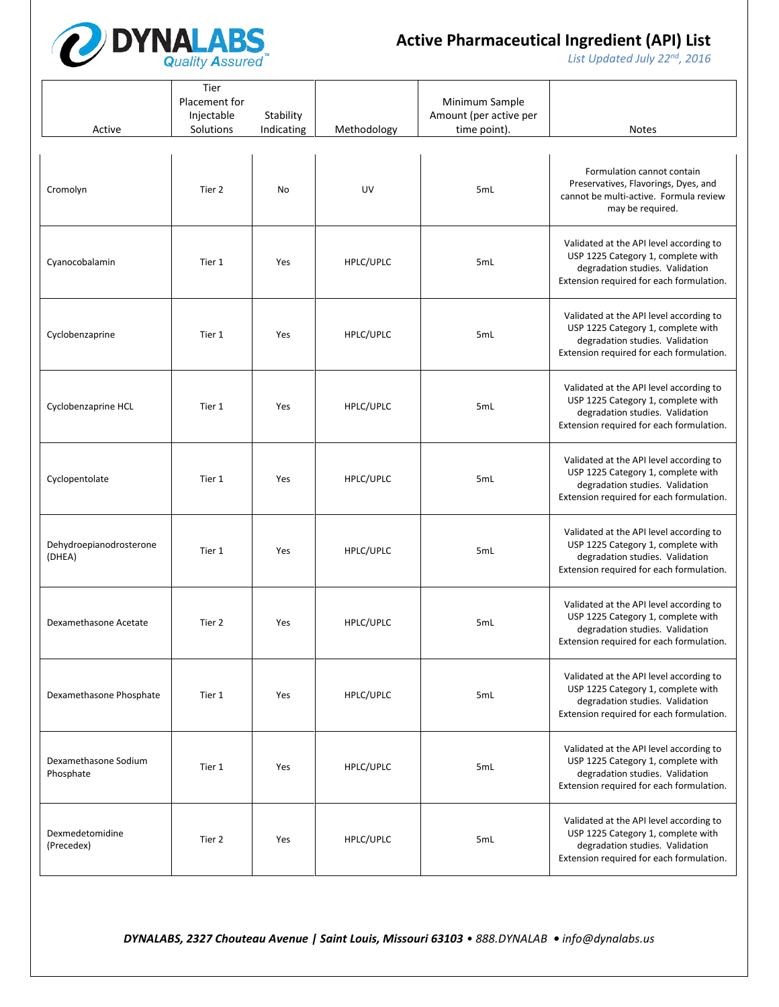

*List Updated July 22nd, 2016*

| Active                            | Tier<br>Placement for<br>Injectable<br>Solutions | Stability<br>Indicating | Methodology | Minimum Sample<br>Amount (per active per<br>time point). | <b>Notes</b>                                                                                                                                                 |
|-----------------------------------|--------------------------------------------------|-------------------------|-------------|----------------------------------------------------------|--------------------------------------------------------------------------------------------------------------------------------------------------------------|
| Cromolyn                          | Tier 2                                           | No                      | UV          | 5mL                                                      | Formulation cannot contain<br>Preservatives, Flavorings, Dyes, and<br>cannot be multi-active. Formula review<br>may be required.                             |
| Cyanocobalamin                    | Tier 1                                           | Yes                     | HPLC/UPLC   | 5mL                                                      | Validated at the API level according to<br>USP 1225 Category 1, complete with<br>degradation studies. Validation<br>Extension required for each formulation. |
| Cyclobenzaprine                   | Tier 1                                           | Yes                     | HPLC/UPLC   | 5mL                                                      | Validated at the API level according to<br>USP 1225 Category 1, complete with<br>degradation studies. Validation<br>Extension required for each formulation. |
| Cyclobenzaprine HCL               | Tier 1                                           | Yes                     | HPLC/UPLC   | 5mL                                                      | Validated at the API level according to<br>USP 1225 Category 1, complete with<br>degradation studies. Validation<br>Extension required for each formulation. |
| Cyclopentolate                    | Tier 1                                           | Yes                     | HPLC/UPLC   | 5mL                                                      | Validated at the API level according to<br>USP 1225 Category 1, complete with<br>degradation studies. Validation<br>Extension required for each formulation. |
| Dehydroepianodrosterone<br>(DHEA) | Tier 1                                           | Yes                     | HPLC/UPLC   | 5mL                                                      | Validated at the API level according to<br>USP 1225 Category 1, complete with<br>degradation studies. Validation<br>Extension required for each formulation. |
| Dexamethasone Acetate             | Tier 2                                           | Yes                     | HPLC/UPLC   | 5mL                                                      | Validated at the API level according to<br>USP 1225 Category 1, complete with<br>degradation studies. Validation<br>Extension required for each formulation. |
| Dexamethasone Phosphate           | Tier 1                                           | Yes                     | HPLC/UPLC   | 5mL                                                      | Validated at the API level according to<br>USP 1225 Category 1, complete with<br>degradation studies. Validation<br>Extension required for each formulation. |
| Dexamethasone Sodium<br>Phosphate | Tier 1                                           | Yes                     | HPLC/UPLC   | 5mL                                                      | Validated at the API level according to<br>USP 1225 Category 1, complete with<br>degradation studies. Validation<br>Extension required for each formulation. |
| Dexmedetomidine<br>(Precedex)     | Tier 2                                           | Yes                     | HPLC/UPLC   | 5mL                                                      | Validated at the API level according to<br>USP 1225 Category 1, complete with<br>degradation studies. Validation<br>Extension required for each formulation. |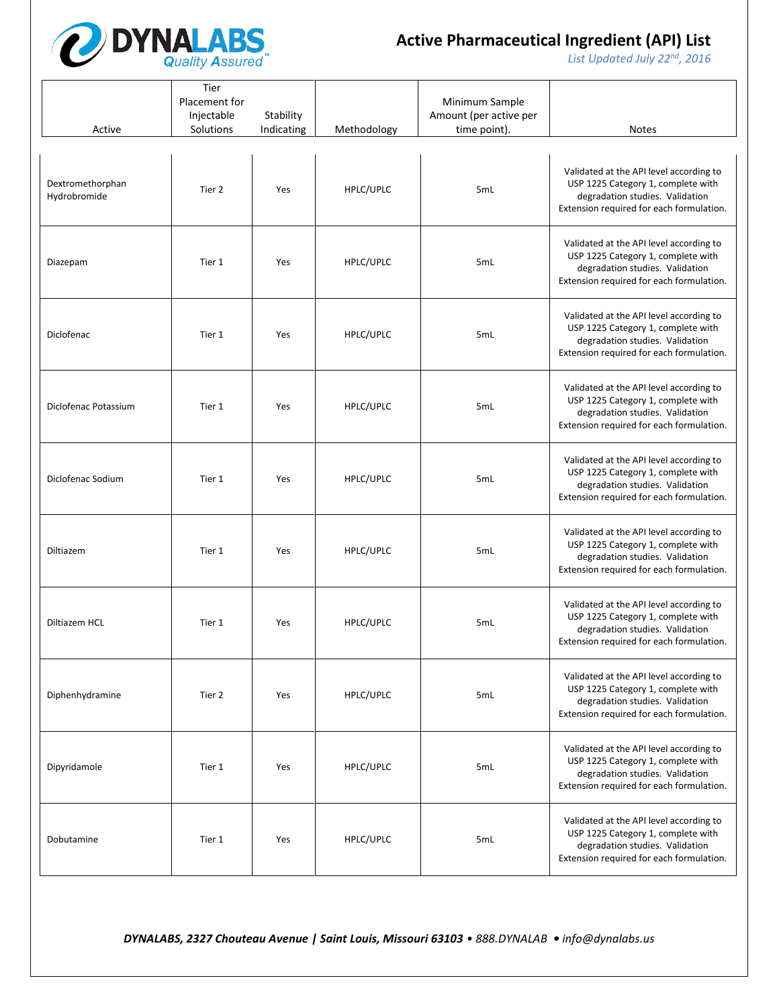

*List Updated July 22nd, 2016*

| Active                           | Tier<br>Placement for<br>Injectable<br>Solutions | Stability<br>Indicating | Methodology | Minimum Sample<br>Amount (per active per<br>time point). | <b>Notes</b>                                                                                                                                                 |
|----------------------------------|--------------------------------------------------|-------------------------|-------------|----------------------------------------------------------|--------------------------------------------------------------------------------------------------------------------------------------------------------------|
| Dextromethorphan<br>Hydrobromide | Tier 2                                           | Yes                     | HPLC/UPLC   | 5mL                                                      | Validated at the API level according to<br>USP 1225 Category 1, complete with<br>degradation studies. Validation<br>Extension required for each formulation. |
| Diazepam                         | Tier 1                                           | Yes                     | HPLC/UPLC   | 5mL                                                      | Validated at the API level according to<br>USP 1225 Category 1, complete with<br>degradation studies. Validation<br>Extension required for each formulation. |
| Diclofenac                       | Tier 1                                           | Yes                     | HPLC/UPLC   | 5mL                                                      | Validated at the API level according to<br>USP 1225 Category 1, complete with<br>degradation studies. Validation<br>Extension required for each formulation. |
| Diclofenac Potassium             | Tier 1                                           | Yes                     | HPLC/UPLC   | 5mL                                                      | Validated at the API level according to<br>USP 1225 Category 1, complete with<br>degradation studies. Validation<br>Extension required for each formulation. |
| Diclofenac Sodium                | Tier 1                                           | Yes                     | HPLC/UPLC   | 5mL                                                      | Validated at the API level according to<br>USP 1225 Category 1, complete with<br>degradation studies. Validation<br>Extension required for each formulation. |
| Diltiazem                        | Tier 1                                           | Yes                     | HPLC/UPLC   | 5mL                                                      | Validated at the API level according to<br>USP 1225 Category 1, complete with<br>degradation studies. Validation<br>Extension required for each formulation. |
| Diltiazem HCL                    | Tier 1                                           | Yes                     | HPLC/UPLC   | 5mL                                                      | Validated at the API level according to<br>USP 1225 Category 1, complete with<br>degradation studies. Validation<br>Extension required for each formulation. |
| Diphenhydramine                  | Tier 2                                           | Yes                     | HPLC/UPLC   | 5mL                                                      | Validated at the API level according to<br>USP 1225 Category 1, complete with<br>degradation studies. Validation<br>Extension required for each formulation. |
| Dipyridamole                     | Tier 1                                           | Yes                     | HPLC/UPLC   | 5mL                                                      | Validated at the API level according to<br>USP 1225 Category 1, complete with<br>degradation studies. Validation<br>Extension required for each formulation. |
| Dobutamine                       | Tier 1                                           | Yes                     | HPLC/UPLC   | 5mL                                                      | Validated at the API level according to<br>USP 1225 Category 1, complete with<br>degradation studies. Validation<br>Extension required for each formulation. |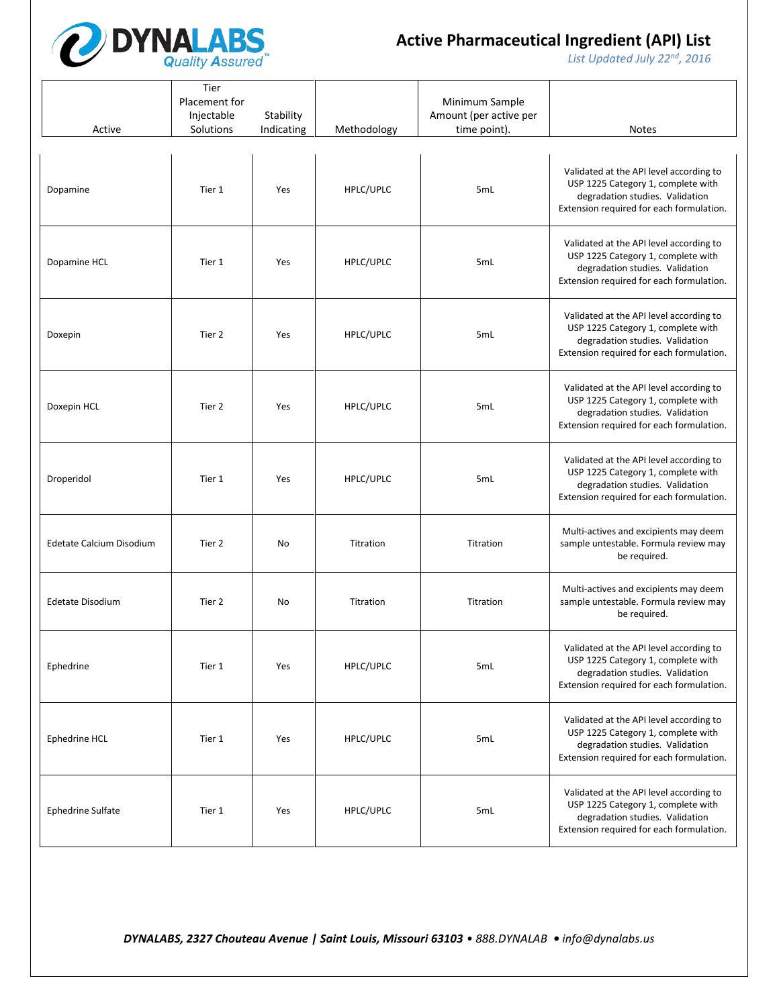

*List Updated July 22nd, 2016*

| Active                   | Tier<br>Placement for<br>Injectable<br>Solutions | Stability<br>Indicating | Methodology | Minimum Sample<br>Amount (per active per<br>time point). | <b>Notes</b>                                                                                                                                                 |
|--------------------------|--------------------------------------------------|-------------------------|-------------|----------------------------------------------------------|--------------------------------------------------------------------------------------------------------------------------------------------------------------|
| Dopamine                 | Tier 1                                           | Yes                     | HPLC/UPLC   | 5mL                                                      | Validated at the API level according to<br>USP 1225 Category 1, complete with<br>degradation studies. Validation<br>Extension required for each formulation. |
| Dopamine HCL             | Tier 1                                           | Yes                     | HPLC/UPLC   | 5mL                                                      | Validated at the API level according to<br>USP 1225 Category 1, complete with<br>degradation studies. Validation<br>Extension required for each formulation. |
| Doxepin                  | Tier 2                                           | Yes                     | HPLC/UPLC   | 5mL                                                      | Validated at the API level according to<br>USP 1225 Category 1, complete with<br>degradation studies. Validation<br>Extension required for each formulation. |
| Doxepin HCL              | Tier 2                                           | Yes                     | HPLC/UPLC   | 5mL                                                      | Validated at the API level according to<br>USP 1225 Category 1, complete with<br>degradation studies. Validation<br>Extension required for each formulation. |
| Droperidol               | Tier 1                                           | Yes                     | HPLC/UPLC   | 5 <sub>mL</sub>                                          | Validated at the API level according to<br>USP 1225 Category 1, complete with<br>degradation studies. Validation<br>Extension required for each formulation. |
| Edetate Calcium Disodium | Tier 2                                           | No                      | Titration   | Titration                                                | Multi-actives and excipients may deem<br>sample untestable. Formula review may<br>be required.                                                               |
| Edetate Disodium         | Tier 2                                           | No                      | Titration   | Titration                                                | Multi-actives and excipients may deem<br>sample untestable. Formula review may<br>be required.                                                               |
| Ephedrine                | Tier 1                                           | Yes                     | HPLC/UPLC   | 5mL                                                      | Validated at the API level according to<br>USP 1225 Category 1, complete with<br>degradation studies. Validation<br>Extension required for each formulation. |
| Ephedrine HCL            | Tier 1                                           | Yes                     | HPLC/UPLC   | 5mL                                                      | Validated at the API level according to<br>USP 1225 Category 1, complete with<br>degradation studies. Validation<br>Extension required for each formulation. |
| <b>Ephedrine Sulfate</b> | Tier 1                                           | Yes                     | HPLC/UPLC   | 5mL                                                      | Validated at the API level according to<br>USP 1225 Category 1, complete with<br>degradation studies. Validation<br>Extension required for each formulation. |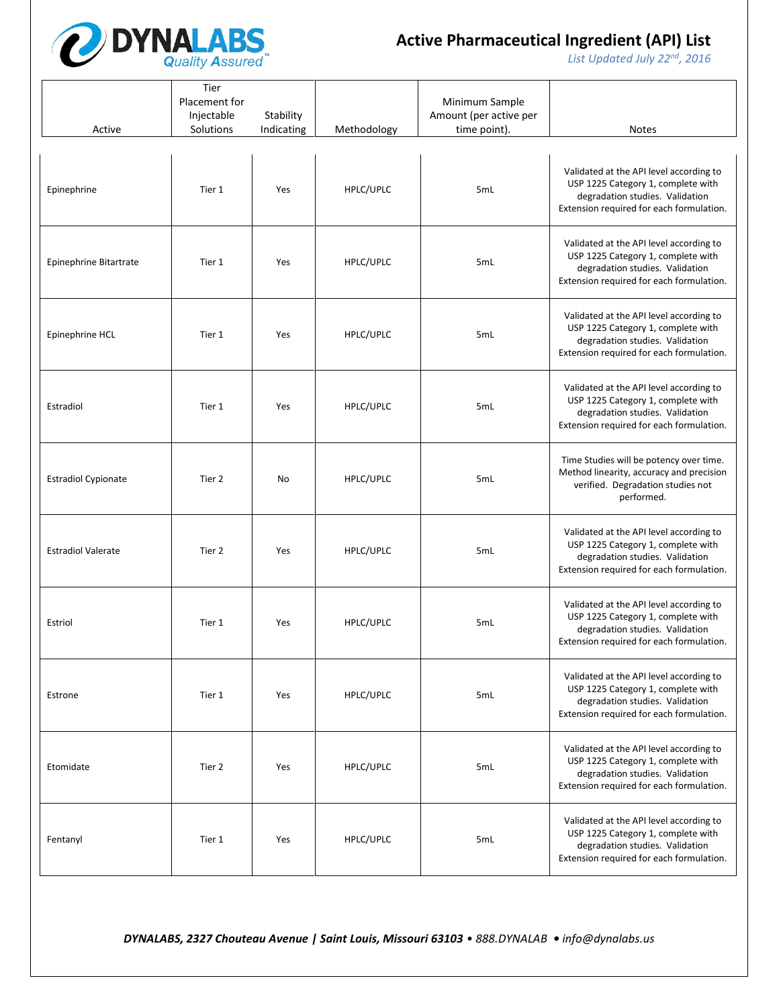

*List Updated July 22nd, 2016*

| Active                     | Tier<br>Placement for<br>Injectable<br>Solutions | Stability<br>Indicating | Methodology | Minimum Sample<br>Amount (per active per<br>time point). | <b>Notes</b>                                                                                                                                                 |
|----------------------------|--------------------------------------------------|-------------------------|-------------|----------------------------------------------------------|--------------------------------------------------------------------------------------------------------------------------------------------------------------|
| Epinephrine                | Tier 1                                           | Yes                     | HPLC/UPLC   | 5mL                                                      | Validated at the API level according to<br>USP 1225 Category 1, complete with<br>degradation studies. Validation<br>Extension required for each formulation. |
| Epinephrine Bitartrate     | Tier 1                                           | Yes                     | HPLC/UPLC   | 5mL                                                      | Validated at the API level according to<br>USP 1225 Category 1, complete with<br>degradation studies. Validation<br>Extension required for each formulation. |
| Epinephrine HCL            | Tier 1                                           | Yes                     | HPLC/UPLC   | 5mL                                                      | Validated at the API level according to<br>USP 1225 Category 1, complete with<br>degradation studies. Validation<br>Extension required for each formulation. |
| Estradiol                  | Tier 1                                           | Yes                     | HPLC/UPLC   | 5mL                                                      | Validated at the API level according to<br>USP 1225 Category 1, complete with<br>degradation studies. Validation<br>Extension required for each formulation. |
| <b>Estradiol Cypionate</b> | Tier 2                                           | No                      | HPLC/UPLC   | 5mL                                                      | Time Studies will be potency over time.<br>Method linearity, accuracy and precision<br>verified. Degradation studies not<br>performed.                       |
| <b>Estradiol Valerate</b>  | Tier 2                                           | Yes                     | HPLC/UPLC   | 5mL                                                      | Validated at the API level according to<br>USP 1225 Category 1, complete with<br>degradation studies. Validation<br>Extension required for each formulation. |
| Estriol                    | Tier 1                                           | Yes                     | HPLC/UPLC   | 5mL                                                      | Validated at the API level according to<br>USP 1225 Category 1, complete with<br>degradation studies. Validation<br>Extension required for each formulation. |
| Estrone                    | Tier 1                                           | Yes                     | HPLC/UPLC   | 5mL                                                      | Validated at the API level according to<br>USP 1225 Category 1, complete with<br>degradation studies. Validation<br>Extension required for each formulation. |
| Etomidate                  | Tier 2                                           | Yes                     | HPLC/UPLC   | 5mL                                                      | Validated at the API level according to<br>USP 1225 Category 1, complete with<br>degradation studies. Validation<br>Extension required for each formulation. |
| Fentanyl                   | Tier 1                                           | Yes                     | HPLC/UPLC   | 5mL                                                      | Validated at the API level according to<br>USP 1225 Category 1, complete with<br>degradation studies. Validation<br>Extension required for each formulation. |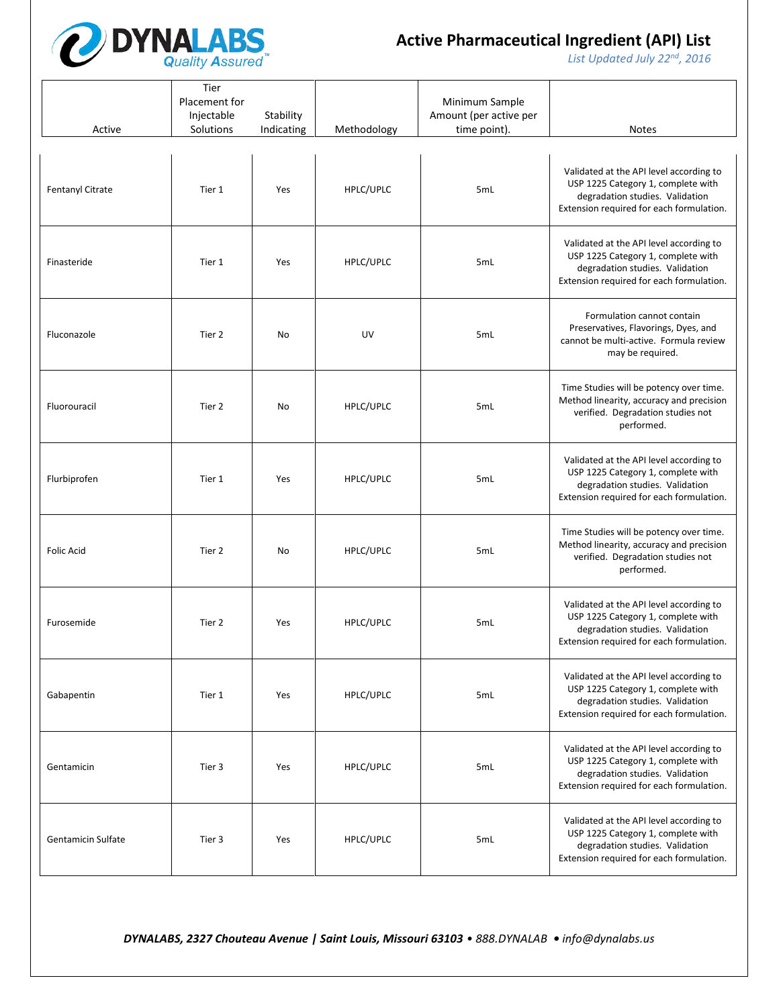

*List Updated July 22nd, 2016*

| Active             | Tier<br>Placement for<br>Injectable<br>Solutions | Stability<br>Indicating | Methodology | Minimum Sample<br>Amount (per active per<br>time point). | <b>Notes</b>                                                                                                                                                 |
|--------------------|--------------------------------------------------|-------------------------|-------------|----------------------------------------------------------|--------------------------------------------------------------------------------------------------------------------------------------------------------------|
| Fentanyl Citrate   | Tier 1                                           | Yes                     | HPLC/UPLC   | 5mL                                                      | Validated at the API level according to<br>USP 1225 Category 1, complete with<br>degradation studies. Validation<br>Extension required for each formulation. |
| Finasteride        | Tier 1                                           | Yes                     | HPLC/UPLC   | 5mL                                                      | Validated at the API level according to<br>USP 1225 Category 1, complete with<br>degradation studies. Validation<br>Extension required for each formulation. |
| Fluconazole        | Tier 2                                           | No                      | UV          | 5mL                                                      | Formulation cannot contain<br>Preservatives, Flavorings, Dyes, and<br>cannot be multi-active. Formula review<br>may be required.                             |
| Fluorouracil       | Tier 2                                           | No                      | HPLC/UPLC   | 5mL                                                      | Time Studies will be potency over time.<br>Method linearity, accuracy and precision<br>verified. Degradation studies not<br>performed.                       |
| Flurbiprofen       | Tier 1                                           | Yes                     | HPLC/UPLC   | 5mL                                                      | Validated at the API level according to<br>USP 1225 Category 1, complete with<br>degradation studies. Validation<br>Extension required for each formulation. |
| <b>Folic Acid</b>  | Tier 2                                           | No                      | HPLC/UPLC   | 5mL                                                      | Time Studies will be potency over time.<br>Method linearity, accuracy and precision<br>verified. Degradation studies not<br>performed.                       |
| Furosemide         | Tier 2                                           | Yes                     | HPLC/UPLC   | 5mL                                                      | Validated at the API level according to<br>USP 1225 Category 1, complete with<br>degradation studies. Validation<br>Extension required for each formulation. |
| Gabapentin         | Tier 1                                           | Yes                     | HPLC/UPLC   | 5mL                                                      | Validated at the API level according to<br>USP 1225 Category 1, complete with<br>degradation studies. Validation<br>Extension required for each formulation. |
| Gentamicin         | Tier 3                                           | Yes                     | HPLC/UPLC   | 5mL                                                      | Validated at the API level according to<br>USP 1225 Category 1, complete with<br>degradation studies. Validation<br>Extension required for each formulation. |
| Gentamicin Sulfate | Tier 3                                           | Yes                     | HPLC/UPLC   | 5mL                                                      | Validated at the API level according to<br>USP 1225 Category 1, complete with<br>degradation studies. Validation<br>Extension required for each formulation. |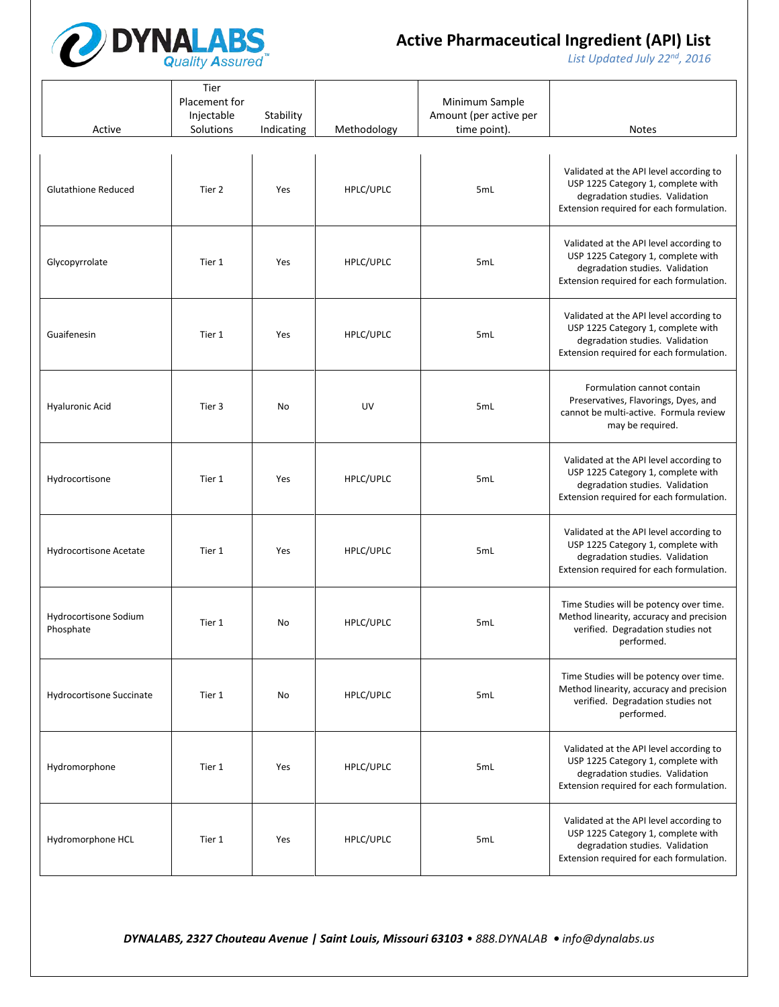

*List Updated July 22nd, 2016*

| Active                             | Tier<br>Placement for<br>Injectable<br>Solutions | Stability<br>Indicating | Methodology | Minimum Sample<br>Amount (per active per<br>time point). | <b>Notes</b>                                                                                                                                                 |
|------------------------------------|--------------------------------------------------|-------------------------|-------------|----------------------------------------------------------|--------------------------------------------------------------------------------------------------------------------------------------------------------------|
| <b>Glutathione Reduced</b>         | Tier 2                                           | Yes                     | HPLC/UPLC   | 5mL                                                      | Validated at the API level according to<br>USP 1225 Category 1, complete with<br>degradation studies. Validation<br>Extension required for each formulation. |
| Glycopyrrolate                     | Tier 1                                           | Yes                     | HPLC/UPLC   | 5mL                                                      | Validated at the API level according to<br>USP 1225 Category 1, complete with<br>degradation studies. Validation<br>Extension required for each formulation. |
| Guaifenesin                        | Tier 1                                           | Yes                     | HPLC/UPLC   | 5mL                                                      | Validated at the API level according to<br>USP 1225 Category 1, complete with<br>degradation studies. Validation<br>Extension required for each formulation. |
| <b>Hyaluronic Acid</b>             | Tier 3                                           | No                      | UV          | 5mL                                                      | Formulation cannot contain<br>Preservatives, Flavorings, Dyes, and<br>cannot be multi-active. Formula review<br>may be required.                             |
| Hydrocortisone                     | Tier 1                                           | Yes                     | HPLC/UPLC   | 5mL                                                      | Validated at the API level according to<br>USP 1225 Category 1, complete with<br>degradation studies. Validation<br>Extension required for each formulation. |
| Hydrocortisone Acetate             | Tier 1                                           | Yes                     | HPLC/UPLC   | 5mL                                                      | Validated at the API level according to<br>USP 1225 Category 1, complete with<br>degradation studies. Validation<br>Extension required for each formulation. |
| Hydrocortisone Sodium<br>Phosphate | Tier 1                                           | No                      | HPLC/UPLC   | 5mL                                                      | Time Studies will be potency over time.<br>Method linearity, accuracy and precision<br>verified. Degradation studies not<br>performed.                       |
| Hydrocortisone Succinate           | Tier 1                                           | No                      | HPLC/UPLC   | 5mL                                                      | Time Studies will be potency over time.<br>Method linearity, accuracy and precision<br>verified. Degradation studies not<br>performed.                       |
| Hydromorphone                      | Tier 1                                           | Yes                     | HPLC/UPLC   | 5mL                                                      | Validated at the API level according to<br>USP 1225 Category 1, complete with<br>degradation studies. Validation<br>Extension required for each formulation. |
| Hydromorphone HCL                  | Tier 1                                           | Yes                     | HPLC/UPLC   | 5mL                                                      | Validated at the API level according to<br>USP 1225 Category 1, complete with<br>degradation studies. Validation<br>Extension required for each formulation. |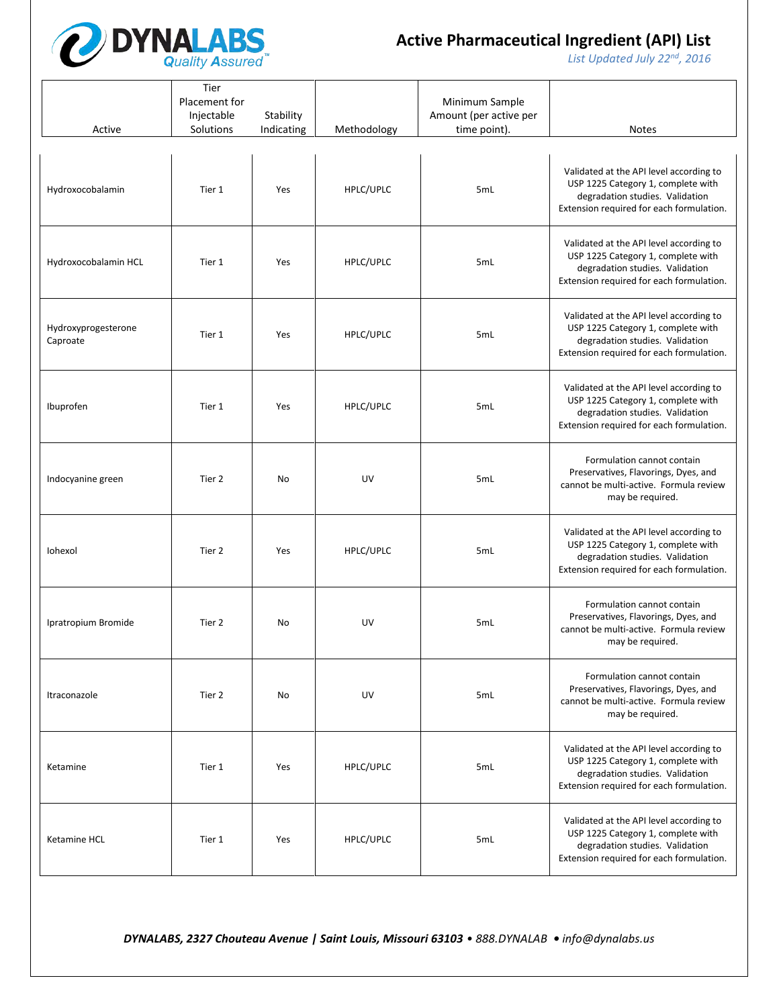

*List Updated July 22nd, 2016*

| Active                          | Tier<br>Placement for<br>Injectable<br>Solutions | Stability<br>Indicating | Methodology | Minimum Sample<br>Amount (per active per<br>time point). | <b>Notes</b>                                                                                                                                                 |
|---------------------------------|--------------------------------------------------|-------------------------|-------------|----------------------------------------------------------|--------------------------------------------------------------------------------------------------------------------------------------------------------------|
| Hydroxocobalamin                | Tier 1                                           | Yes                     | HPLC/UPLC   | 5mL                                                      | Validated at the API level according to<br>USP 1225 Category 1, complete with<br>degradation studies. Validation<br>Extension required for each formulation. |
| Hydroxocobalamin HCL            | Tier 1                                           | Yes                     | HPLC/UPLC   | 5mL                                                      | Validated at the API level according to<br>USP 1225 Category 1, complete with<br>degradation studies. Validation<br>Extension required for each formulation. |
| Hydroxyprogesterone<br>Caproate | Tier 1                                           | Yes                     | HPLC/UPLC   | 5mL                                                      | Validated at the API level according to<br>USP 1225 Category 1, complete with<br>degradation studies. Validation<br>Extension required for each formulation. |
| Ibuprofen                       | Tier 1                                           | Yes                     | HPLC/UPLC   | 5mL                                                      | Validated at the API level according to<br>USP 1225 Category 1, complete with<br>degradation studies. Validation<br>Extension required for each formulation. |
| Indocyanine green               | Tier 2                                           | No                      | UV          | 5mL                                                      | Formulation cannot contain<br>Preservatives, Flavorings, Dyes, and<br>cannot be multi-active. Formula review<br>may be required.                             |
| Iohexol                         | Tier 2                                           | Yes                     | HPLC/UPLC   | 5mL                                                      | Validated at the API level according to<br>USP 1225 Category 1, complete with<br>degradation studies. Validation<br>Extension required for each formulation. |
| Ipratropium Bromide             | Tier 2                                           | No                      | UV          | 5mL                                                      | Formulation cannot contain<br>Preservatives, Flavorings, Dyes, and<br>cannot be multi-active. Formula review<br>may be required.                             |
| Itraconazole                    | Tier 2                                           | No                      | UV          | 5mL                                                      | Formulation cannot contain<br>Preservatives, Flavorings, Dyes, and<br>cannot be multi-active. Formula review<br>may be required.                             |
| Ketamine                        | Tier 1                                           | Yes                     | HPLC/UPLC   | 5mL                                                      | Validated at the API level according to<br>USP 1225 Category 1, complete with<br>degradation studies. Validation<br>Extension required for each formulation. |
| Ketamine HCL                    | Tier 1                                           | Yes                     | HPLC/UPLC   | 5mL                                                      | Validated at the API level according to<br>USP 1225 Category 1, complete with<br>degradation studies. Validation<br>Extension required for each formulation. |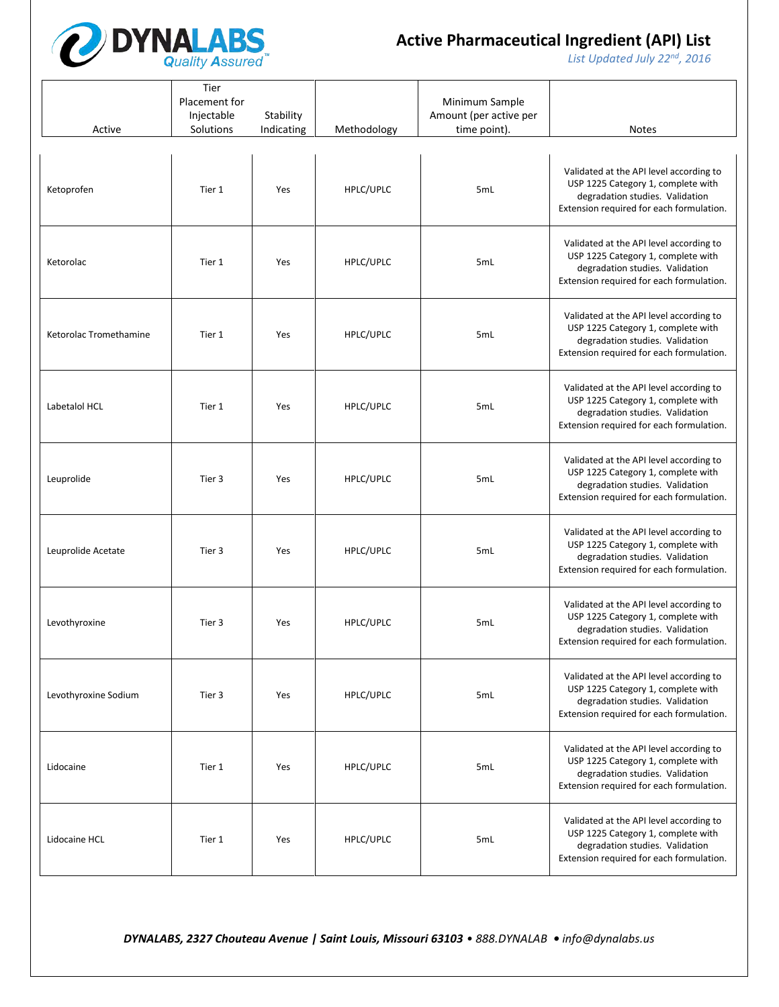

*List Updated July 22nd, 2016*

| Active                 | Tier<br>Placement for<br>Injectable<br>Solutions | Stability<br>Indicating | Methodology | Minimum Sample<br>Amount (per active per<br>time point). | <b>Notes</b>                                                                                                                                                 |
|------------------------|--------------------------------------------------|-------------------------|-------------|----------------------------------------------------------|--------------------------------------------------------------------------------------------------------------------------------------------------------------|
| Ketoprofen             | Tier 1                                           | Yes                     | HPLC/UPLC   | 5mL                                                      | Validated at the API level according to<br>USP 1225 Category 1, complete with<br>degradation studies. Validation<br>Extension required for each formulation. |
| Ketorolac              | Tier 1                                           | Yes                     | HPLC/UPLC   | 5mL                                                      | Validated at the API level according to<br>USP 1225 Category 1, complete with<br>degradation studies. Validation<br>Extension required for each formulation. |
| Ketorolac Tromethamine | Tier 1                                           | Yes                     | HPLC/UPLC   | 5mL                                                      | Validated at the API level according to<br>USP 1225 Category 1, complete with<br>degradation studies. Validation<br>Extension required for each formulation. |
| Labetalol HCL          | Tier 1                                           | Yes                     | HPLC/UPLC   | 5mL                                                      | Validated at the API level according to<br>USP 1225 Category 1, complete with<br>degradation studies. Validation<br>Extension required for each formulation. |
| Leuprolide             | Tier 3                                           | Yes                     | HPLC/UPLC   | 5mL                                                      | Validated at the API level according to<br>USP 1225 Category 1, complete with<br>degradation studies. Validation<br>Extension required for each formulation. |
| Leuprolide Acetate     | Tier 3                                           | Yes                     | HPLC/UPLC   | 5mL                                                      | Validated at the API level according to<br>USP 1225 Category 1, complete with<br>degradation studies. Validation<br>Extension required for each formulation. |
| Levothyroxine          | Tier 3                                           | Yes                     | HPLC/UPLC   | 5mL                                                      | Validated at the API level according to<br>USP 1225 Category 1, complete with<br>degradation studies. Validation<br>Extension required for each formulation. |
| Levothyroxine Sodium   | Tier 3                                           | Yes                     | HPLC/UPLC   | 5mL                                                      | Validated at the API level according to<br>USP 1225 Category 1, complete with<br>degradation studies. Validation<br>Extension required for each formulation. |
| Lidocaine              | Tier 1                                           | Yes                     | HPLC/UPLC   | 5mL                                                      | Validated at the API level according to<br>USP 1225 Category 1, complete with<br>degradation studies. Validation<br>Extension required for each formulation. |
| Lidocaine HCL          | Tier 1                                           | Yes                     | HPLC/UPLC   | 5mL                                                      | Validated at the API level according to<br>USP 1225 Category 1, complete with<br>degradation studies. Validation<br>Extension required for each formulation. |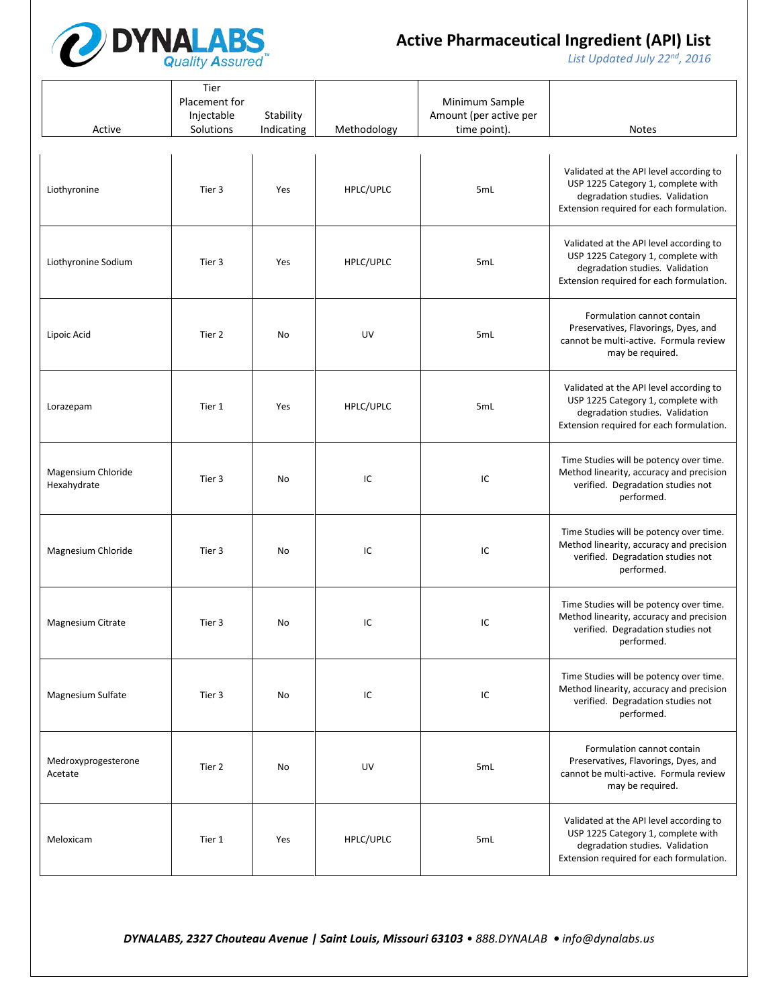

*List Updated July 22nd, 2016*

| Active                            | Tier<br>Placement for<br>Injectable<br>Solutions | Stability<br>Indicating | Methodology | Minimum Sample<br>Amount (per active per<br>time point). | <b>Notes</b>                                                                                                                                                 |
|-----------------------------------|--------------------------------------------------|-------------------------|-------------|----------------------------------------------------------|--------------------------------------------------------------------------------------------------------------------------------------------------------------|
| Liothyronine                      | Tier 3                                           | Yes                     | HPLC/UPLC   | 5mL                                                      | Validated at the API level according to<br>USP 1225 Category 1, complete with<br>degradation studies. Validation<br>Extension required for each formulation. |
| Liothyronine Sodium               | Tier 3                                           | Yes                     | HPLC/UPLC   | 5mL                                                      | Validated at the API level according to<br>USP 1225 Category 1, complete with<br>degradation studies. Validation<br>Extension required for each formulation. |
| Lipoic Acid                       | Tier 2                                           | No                      | UV          | 5mL                                                      | Formulation cannot contain<br>Preservatives, Flavorings, Dyes, and<br>cannot be multi-active. Formula review<br>may be required.                             |
| Lorazepam                         | Tier 1                                           | Yes                     | HPLC/UPLC   | 5mL                                                      | Validated at the API level according to<br>USP 1225 Category 1, complete with<br>degradation studies. Validation<br>Extension required for each formulation. |
| Magensium Chloride<br>Hexahydrate | Tier 3                                           | No                      | IC          | IC                                                       | Time Studies will be potency over time.<br>Method linearity, accuracy and precision<br>verified. Degradation studies not<br>performed.                       |
| Magnesium Chloride                | Tier 3                                           | No                      | IC          | IC                                                       | Time Studies will be potency over time.<br>Method linearity, accuracy and precision<br>verified. Degradation studies not<br>performed.                       |
| Magnesium Citrate                 | Tier 3                                           | No                      | IC          | IC                                                       | Time Studies will be potency over time.<br>Method linearity, accuracy and precision<br>verified. Degradation studies not<br>performed.                       |
| Magnesium Sulfate                 | Tier 3                                           | No                      | IC          | IC                                                       | Time Studies will be potency over time.<br>Method linearity, accuracy and precision<br>verified. Degradation studies not<br>performed.                       |
| Medroxyprogesterone<br>Acetate    | Tier 2                                           | No                      | UV          | 5mL                                                      | Formulation cannot contain<br>Preservatives, Flavorings, Dyes, and<br>cannot be multi-active. Formula review<br>may be required.                             |
| Meloxicam                         | Tier 1                                           | Yes                     | HPLC/UPLC   | 5mL                                                      | Validated at the API level according to<br>USP 1225 Category 1, complete with<br>degradation studies. Validation<br>Extension required for each formulation. |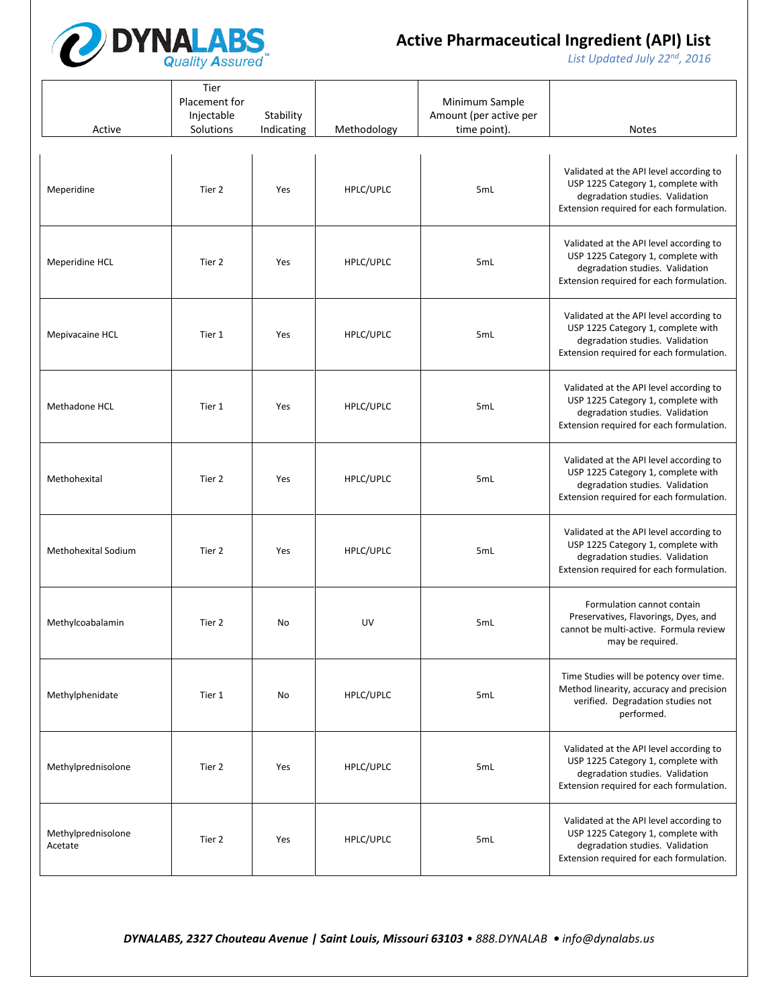

*List Updated July 22nd, 2016*

| Active                        | Tier<br>Placement for<br>Injectable<br>Solutions | Stability<br>Indicating | Methodology | Minimum Sample<br>Amount (per active per<br>time point). | <b>Notes</b>                                                                                                                                                 |
|-------------------------------|--------------------------------------------------|-------------------------|-------------|----------------------------------------------------------|--------------------------------------------------------------------------------------------------------------------------------------------------------------|
| Meperidine                    | Tier 2                                           | Yes                     | HPLC/UPLC   | 5mL                                                      | Validated at the API level according to<br>USP 1225 Category 1, complete with<br>degradation studies. Validation<br>Extension required for each formulation. |
| Meperidine HCL                | Tier 2                                           | Yes                     | HPLC/UPLC   | 5mL                                                      | Validated at the API level according to<br>USP 1225 Category 1, complete with<br>degradation studies. Validation<br>Extension required for each formulation. |
| Mepivacaine HCL               | Tier 1                                           | Yes                     | HPLC/UPLC   | 5mL                                                      | Validated at the API level according to<br>USP 1225 Category 1, complete with<br>degradation studies. Validation<br>Extension required for each formulation. |
| Methadone HCL                 | Tier 1                                           | Yes                     | HPLC/UPLC   | 5mL                                                      | Validated at the API level according to<br>USP 1225 Category 1, complete with<br>degradation studies. Validation<br>Extension required for each formulation. |
| Methohexital                  | Tier 2                                           | Yes                     | HPLC/UPLC   | 5mL                                                      | Validated at the API level according to<br>USP 1225 Category 1, complete with<br>degradation studies. Validation<br>Extension required for each formulation. |
| Methohexital Sodium           | Tier 2                                           | Yes                     | HPLC/UPLC   | 5mL                                                      | Validated at the API level according to<br>USP 1225 Category 1, complete with<br>degradation studies. Validation<br>Extension required for each formulation. |
| Methylcoabalamin              | Tier 2                                           | No                      | UV          | 5mL                                                      | Formulation cannot contain<br>Preservatives, Flavorings, Dyes, and<br>cannot be multi-active. Formula review<br>may be required.                             |
| Methylphenidate               | Tier 1                                           | No                      | HPLC/UPLC   | 5mL                                                      | Time Studies will be potency over time.<br>Method linearity, accuracy and precision<br>verified. Degradation studies not<br>performed.                       |
| Methylprednisolone            | Tier 2                                           | Yes                     | HPLC/UPLC   | 5mL                                                      | Validated at the API level according to<br>USP 1225 Category 1, complete with<br>degradation studies. Validation<br>Extension required for each formulation. |
| Methylprednisolone<br>Acetate | Tier 2                                           | Yes                     | HPLC/UPLC   | 5mL                                                      | Validated at the API level according to<br>USP 1225 Category 1, complete with<br>degradation studies. Validation<br>Extension required for each formulation. |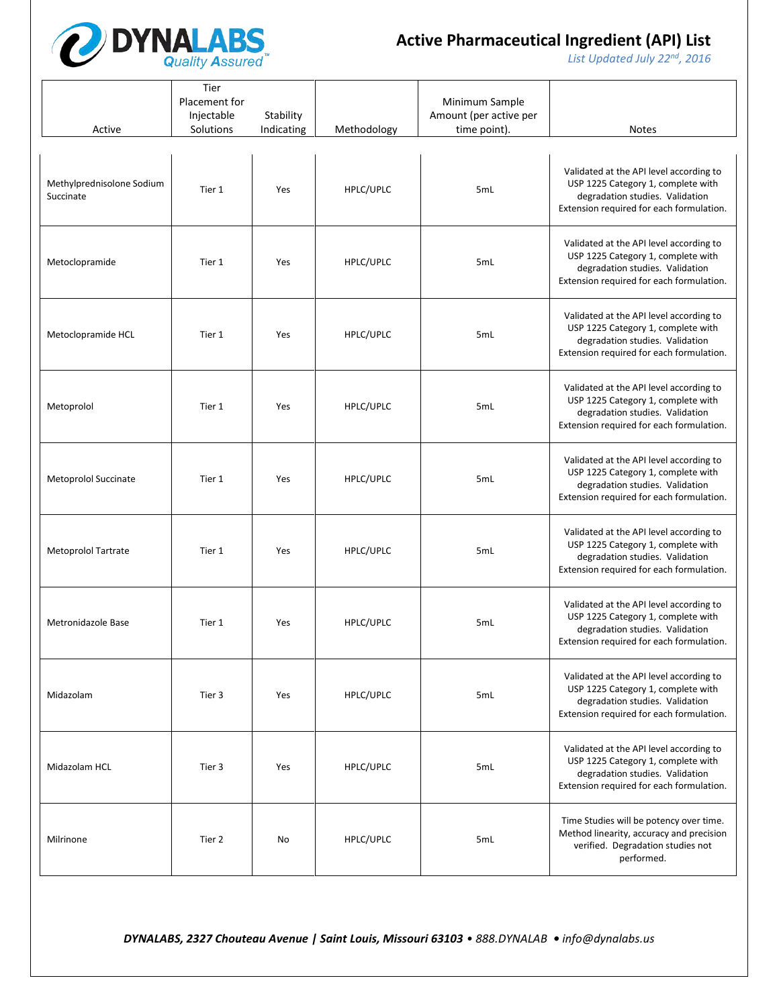

*List Updated July 22nd, 2016*

| Active                                 | Tier<br>Placement for<br>Injectable<br>Solutions | Stability<br>Indicating | Methodology | Minimum Sample<br>Amount (per active per<br>time point). | Notes                                                                                                                                                        |
|----------------------------------------|--------------------------------------------------|-------------------------|-------------|----------------------------------------------------------|--------------------------------------------------------------------------------------------------------------------------------------------------------------|
| Methylprednisolone Sodium<br>Succinate | Tier 1                                           | Yes                     | HPLC/UPLC   | 5mL                                                      | Validated at the API level according to<br>USP 1225 Category 1, complete with<br>degradation studies. Validation<br>Extension required for each formulation. |
| Metoclopramide                         | Tier 1                                           | Yes                     | HPLC/UPLC   | 5mL                                                      | Validated at the API level according to<br>USP 1225 Category 1, complete with<br>degradation studies. Validation<br>Extension required for each formulation. |
| Metoclopramide HCL                     | Tier 1                                           | Yes                     | HPLC/UPLC   | 5mL                                                      | Validated at the API level according to<br>USP 1225 Category 1, complete with<br>degradation studies. Validation<br>Extension required for each formulation. |
| Metoprolol                             | Tier 1                                           | Yes                     | HPLC/UPLC   | 5mL                                                      | Validated at the API level according to<br>USP 1225 Category 1, complete with<br>degradation studies. Validation<br>Extension required for each formulation. |
| Metoprolol Succinate                   | Tier 1                                           | Yes                     | HPLC/UPLC   | 5mL                                                      | Validated at the API level according to<br>USP 1225 Category 1, complete with<br>degradation studies. Validation<br>Extension required for each formulation. |
| Metoprolol Tartrate                    | Tier 1                                           | Yes                     | HPLC/UPLC   | 5mL                                                      | Validated at the API level according to<br>USP 1225 Category 1, complete with<br>degradation studies. Validation<br>Extension required for each formulation. |
| Metronidazole Base                     | Tier 1                                           | Yes                     | HPLC/UPLC   | 5mL                                                      | Validated at the API level according to<br>USP 1225 Category 1, complete with<br>degradation studies. Validation<br>Extension required for each formulation. |
| Midazolam                              | Tier 3                                           | Yes                     | HPLC/UPLC   | 5mL                                                      | Validated at the API level according to<br>USP 1225 Category 1, complete with<br>degradation studies. Validation<br>Extension required for each formulation. |
| Midazolam HCL                          | Tier 3                                           | Yes                     | HPLC/UPLC   | 5mL                                                      | Validated at the API level according to<br>USP 1225 Category 1, complete with<br>degradation studies. Validation<br>Extension required for each formulation. |
| Milrinone                              | Tier 2                                           | No                      | HPLC/UPLC   | 5mL                                                      | Time Studies will be potency over time.<br>Method linearity, accuracy and precision<br>verified. Degradation studies not<br>performed.                       |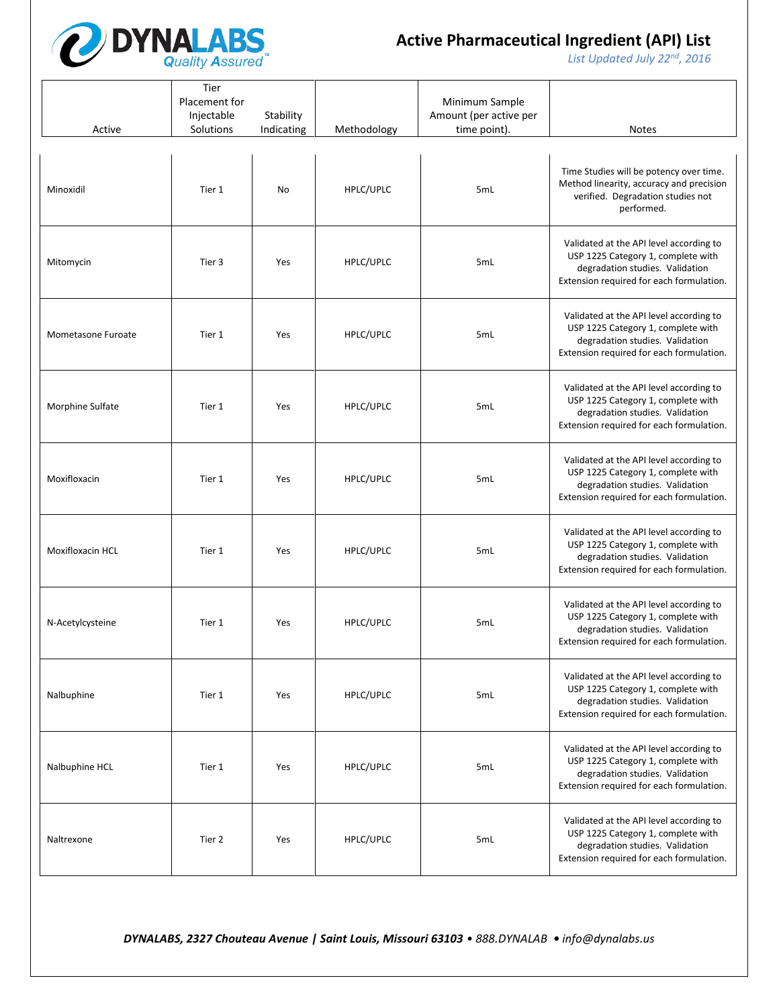

*List Updated July 22nd, 2016*

| Active             | Tier<br>Placement for<br>Injectable<br>Solutions | Stability<br>Indicating | Methodology | Minimum Sample<br>Amount (per active per<br>time point). | <b>Notes</b>                                                                                                                                                 |
|--------------------|--------------------------------------------------|-------------------------|-------------|----------------------------------------------------------|--------------------------------------------------------------------------------------------------------------------------------------------------------------|
| Minoxidil          | Tier 1                                           | No                      | HPLC/UPLC   | 5mL                                                      | Time Studies will be potency over time.<br>Method linearity, accuracy and precision<br>verified. Degradation studies not<br>performed.                       |
| Mitomycin          | Tier 3                                           | Yes                     | HPLC/UPLC   | 5mL                                                      | Validated at the API level according to<br>USP 1225 Category 1, complete with<br>degradation studies. Validation<br>Extension required for each formulation. |
| Mometasone Furoate | Tier 1                                           | Yes                     | HPLC/UPLC   | 5mL                                                      | Validated at the API level according to<br>USP 1225 Category 1, complete with<br>degradation studies. Validation<br>Extension required for each formulation. |
| Morphine Sulfate   | Tier 1                                           | Yes                     | HPLC/UPLC   | 5mL                                                      | Validated at the API level according to<br>USP 1225 Category 1, complete with<br>degradation studies. Validation<br>Extension required for each formulation. |
| Moxifloxacin       | Tier 1                                           | Yes                     | HPLC/UPLC   | 5mL                                                      | Validated at the API level according to<br>USP 1225 Category 1, complete with<br>degradation studies. Validation<br>Extension required for each formulation. |
| Moxifloxacin HCL   | Tier 1                                           | Yes                     | HPLC/UPLC   | 5mL                                                      | Validated at the API level according to<br>USP 1225 Category 1, complete with<br>degradation studies. Validation<br>Extension required for each formulation. |
| N-Acetylcysteine   | Tier 1                                           | Yes                     | HPLC/UPLC   | 5mL                                                      | Validated at the API level according to<br>USP 1225 Category 1, complete with<br>degradation studies. Validation<br>Extension required for each formulation. |
| Nalbuphine         | Tier 1                                           | Yes                     | HPLC/UPLC   | 5mL                                                      | Validated at the API level according to<br>USP 1225 Category 1, complete with<br>degradation studies. Validation<br>Extension required for each formulation. |
| Nalbuphine HCL     | Tier 1                                           | Yes                     | HPLC/UPLC   | 5mL                                                      | Validated at the API level according to<br>USP 1225 Category 1, complete with<br>degradation studies. Validation<br>Extension required for each formulation. |
| Naltrexone         | Tier 2                                           | Yes                     | HPLC/UPLC   | 5mL                                                      | Validated at the API level according to<br>USP 1225 Category 1, complete with<br>degradation studies. Validation<br>Extension required for each formulation. |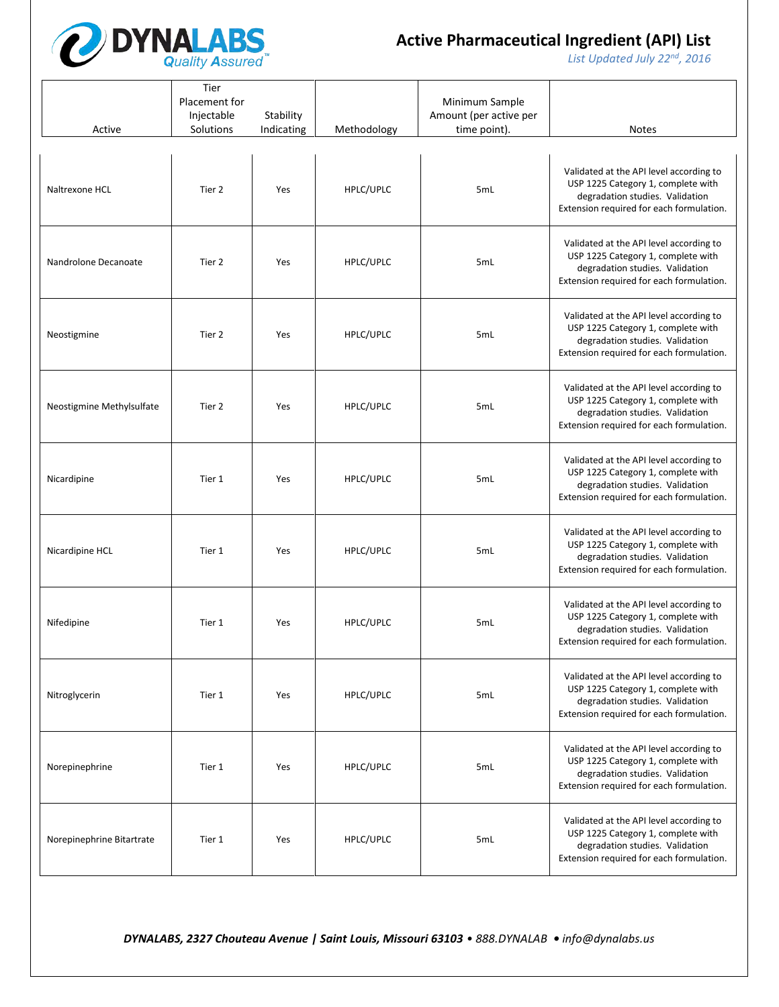

*List Updated July 22nd, 2016*

| Active                    | Tier<br>Placement for<br>Injectable<br>Solutions | Stability<br>Indicating | Methodology | Minimum Sample<br>Amount (per active per<br>time point). | <b>Notes</b>                                                                                                                                                 |
|---------------------------|--------------------------------------------------|-------------------------|-------------|----------------------------------------------------------|--------------------------------------------------------------------------------------------------------------------------------------------------------------|
| Naltrexone HCL            | Tier 2                                           | Yes                     | HPLC/UPLC   | 5mL                                                      | Validated at the API level according to<br>USP 1225 Category 1, complete with<br>degradation studies. Validation<br>Extension required for each formulation. |
| Nandrolone Decanoate      | Tier 2                                           | Yes                     | HPLC/UPLC   | 5mL                                                      | Validated at the API level according to<br>USP 1225 Category 1, complete with<br>degradation studies. Validation<br>Extension required for each formulation. |
| Neostigmine               | Tier 2                                           | Yes                     | HPLC/UPLC   | 5mL                                                      | Validated at the API level according to<br>USP 1225 Category 1, complete with<br>degradation studies. Validation<br>Extension required for each formulation. |
| Neostigmine Methylsulfate | Tier 2                                           | Yes                     | HPLC/UPLC   | 5mL                                                      | Validated at the API level according to<br>USP 1225 Category 1, complete with<br>degradation studies. Validation<br>Extension required for each formulation. |
| Nicardipine               | Tier 1                                           | Yes                     | HPLC/UPLC   | 5mL                                                      | Validated at the API level according to<br>USP 1225 Category 1, complete with<br>degradation studies. Validation<br>Extension required for each formulation. |
| Nicardipine HCL           | Tier 1                                           | Yes                     | HPLC/UPLC   | 5mL                                                      | Validated at the API level according to<br>USP 1225 Category 1, complete with<br>degradation studies. Validation<br>Extension required for each formulation. |
| Nifedipine                | Tier 1                                           | Yes                     | HPLC/UPLC   | 5mL                                                      | Validated at the API level according to<br>USP 1225 Category 1, complete with<br>degradation studies. Validation<br>Extension required for each formulation. |
| Nitroglycerin             | Tier 1                                           | Yes                     | HPLC/UPLC   | 5mL                                                      | Validated at the API level according to<br>USP 1225 Category 1, complete with<br>degradation studies. Validation<br>Extension required for each formulation. |
| Norepinephrine            | Tier 1                                           | Yes                     | HPLC/UPLC   | 5mL                                                      | Validated at the API level according to<br>USP 1225 Category 1, complete with<br>degradation studies. Validation<br>Extension required for each formulation. |
| Norepinephrine Bitartrate | Tier 1                                           | Yes                     | HPLC/UPLC   | 5mL                                                      | Validated at the API level according to<br>USP 1225 Category 1, complete with<br>degradation studies. Validation<br>Extension required for each formulation. |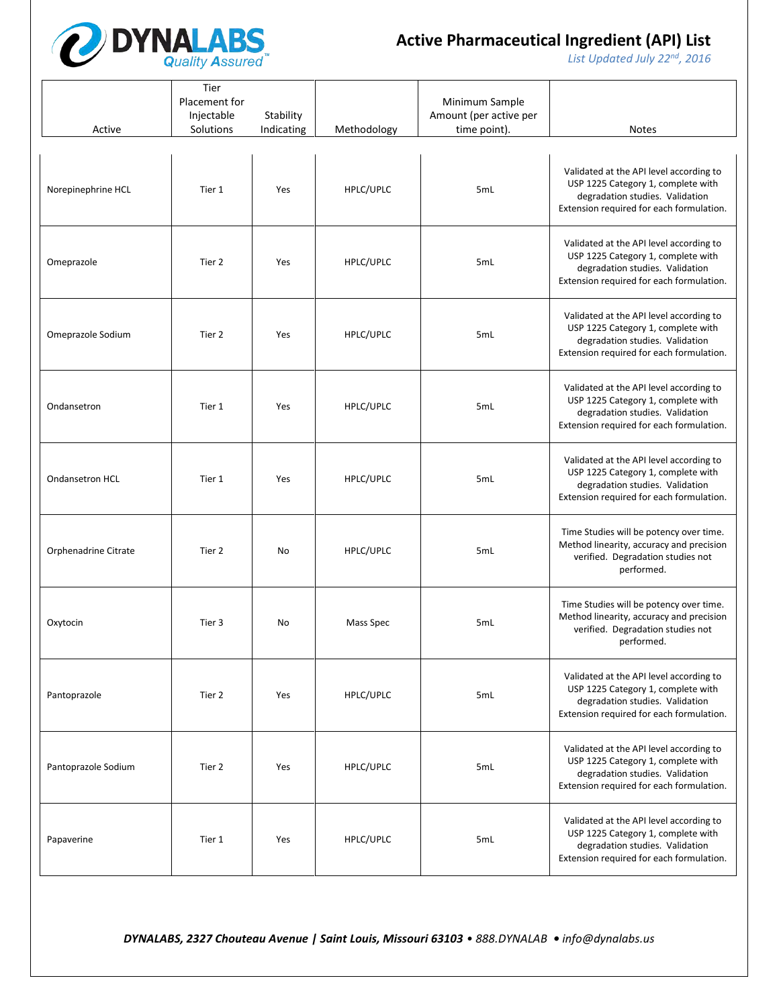

*List Updated July 22nd, 2016*

| Active               | Tier<br>Placement for<br>Injectable<br>Solutions | Stability<br>Indicating | Methodology | Minimum Sample<br>Amount (per active per<br>time point). | <b>Notes</b>                                                                                                                                                 |
|----------------------|--------------------------------------------------|-------------------------|-------------|----------------------------------------------------------|--------------------------------------------------------------------------------------------------------------------------------------------------------------|
| Norepinephrine HCL   | Tier 1                                           | Yes                     | HPLC/UPLC   | 5mL                                                      | Validated at the API level according to<br>USP 1225 Category 1, complete with<br>degradation studies. Validation<br>Extension required for each formulation. |
| Omeprazole           | Tier 2                                           | Yes                     | HPLC/UPLC   | 5mL                                                      | Validated at the API level according to<br>USP 1225 Category 1, complete with<br>degradation studies. Validation<br>Extension required for each formulation. |
| Omeprazole Sodium    | Tier 2                                           | Yes                     | HPLC/UPLC   | 5mL                                                      | Validated at the API level according to<br>USP 1225 Category 1, complete with<br>degradation studies. Validation<br>Extension required for each formulation. |
| Ondansetron          | Tier 1                                           | Yes                     | HPLC/UPLC   | 5mL                                                      | Validated at the API level according to<br>USP 1225 Category 1, complete with<br>degradation studies. Validation<br>Extension required for each formulation. |
| Ondansetron HCL      | Tier 1                                           | Yes                     | HPLC/UPLC   | 5mL                                                      | Validated at the API level according to<br>USP 1225 Category 1, complete with<br>degradation studies. Validation<br>Extension required for each formulation. |
| Orphenadrine Citrate | Tier 2                                           | No                      | HPLC/UPLC   | 5mL                                                      | Time Studies will be potency over time.<br>Method linearity, accuracy and precision<br>verified. Degradation studies not<br>performed.                       |
| Oxytocin             | Tier 3                                           | No                      | Mass Spec   | 5mL                                                      | Time Studies will be potency over time.<br>Method linearity, accuracy and precision<br>verified. Degradation studies not<br>performed.                       |
| Pantoprazole         | Tier 2                                           | Yes                     | HPLC/UPLC   | 5mL                                                      | Validated at the API level according to<br>USP 1225 Category 1, complete with<br>degradation studies. Validation<br>Extension required for each formulation. |
| Pantoprazole Sodium  | Tier 2                                           | Yes                     | HPLC/UPLC   | 5mL                                                      | Validated at the API level according to<br>USP 1225 Category 1, complete with<br>degradation studies. Validation<br>Extension required for each formulation. |
| Papaverine           | Tier 1                                           | Yes                     | HPLC/UPLC   | 5mL                                                      | Validated at the API level according to<br>USP 1225 Category 1, complete with<br>degradation studies. Validation<br>Extension required for each formulation. |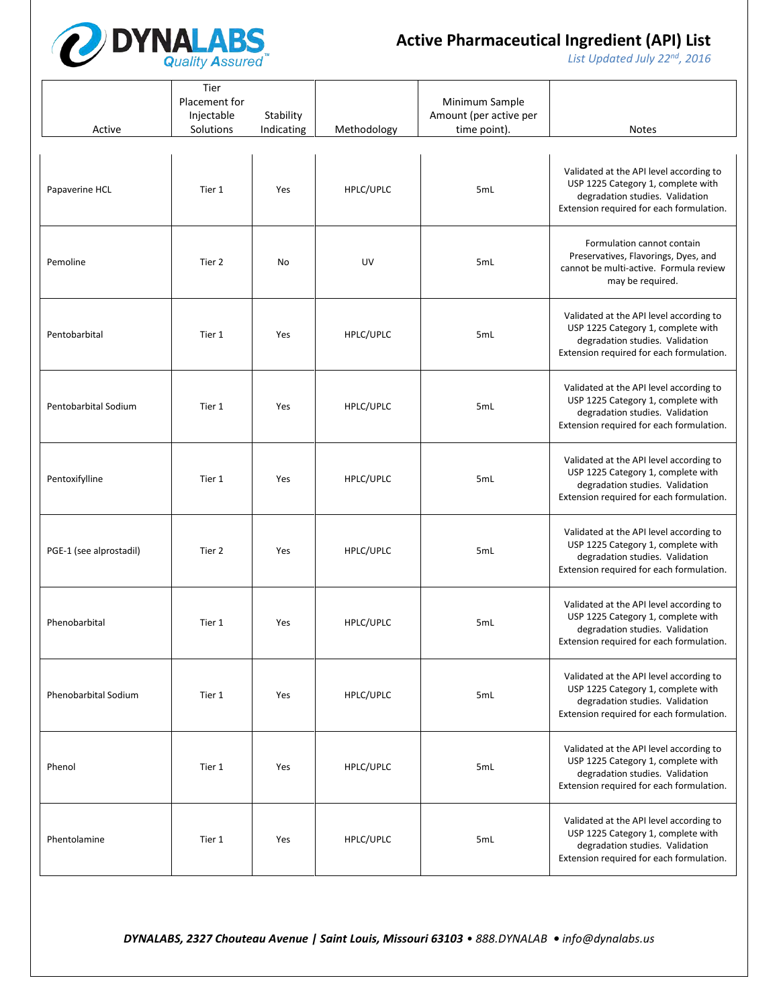

*List Updated July 22nd, 2016*

| Active                  | Tier<br>Placement for<br>Injectable<br>Solutions | Stability<br>Indicating | Methodology | Minimum Sample<br>Amount (per active per<br>time point). | <b>Notes</b>                                                                                                                                                 |
|-------------------------|--------------------------------------------------|-------------------------|-------------|----------------------------------------------------------|--------------------------------------------------------------------------------------------------------------------------------------------------------------|
| Papaverine HCL          | Tier 1                                           | Yes                     | HPLC/UPLC   | 5mL                                                      | Validated at the API level according to<br>USP 1225 Category 1, complete with<br>degradation studies. Validation<br>Extension required for each formulation. |
| Pemoline                | Tier 2                                           | No                      | UV          | 5mL                                                      | Formulation cannot contain<br>Preservatives, Flavorings, Dyes, and<br>cannot be multi-active. Formula review<br>may be required.                             |
| Pentobarbital           | Tier 1                                           | Yes                     | HPLC/UPLC   | 5mL                                                      | Validated at the API level according to<br>USP 1225 Category 1, complete with<br>degradation studies. Validation<br>Extension required for each formulation. |
| Pentobarbital Sodium    | Tier 1                                           | Yes                     | HPLC/UPLC   | 5mL                                                      | Validated at the API level according to<br>USP 1225 Category 1, complete with<br>degradation studies. Validation<br>Extension required for each formulation. |
| Pentoxifylline          | Tier 1                                           | Yes                     | HPLC/UPLC   | 5mL                                                      | Validated at the API level according to<br>USP 1225 Category 1, complete with<br>degradation studies. Validation<br>Extension required for each formulation. |
| PGE-1 (see alprostadil) | Tier 2                                           | Yes                     | HPLC/UPLC   | 5mL                                                      | Validated at the API level according to<br>USP 1225 Category 1, complete with<br>degradation studies. Validation<br>Extension required for each formulation. |
| Phenobarbital           | Tier 1                                           | Yes                     | HPLC/UPLC   | 5mL                                                      | Validated at the API level according to<br>USP 1225 Category 1, complete with<br>degradation studies. Validation<br>Extension required for each formulation. |
| Phenobarbital Sodium    | Tier 1                                           | Yes                     | HPLC/UPLC   | 5mL                                                      | Validated at the API level according to<br>USP 1225 Category 1, complete with<br>degradation studies. Validation<br>Extension required for each formulation. |
| Phenol                  | Tier 1                                           | Yes                     | HPLC/UPLC   | 5mL                                                      | Validated at the API level according to<br>USP 1225 Category 1, complete with<br>degradation studies. Validation<br>Extension required for each formulation. |
| Phentolamine            | Tier 1                                           | Yes                     | HPLC/UPLC   | 5mL                                                      | Validated at the API level according to<br>USP 1225 Category 1, complete with<br>degradation studies. Validation<br>Extension required for each formulation. |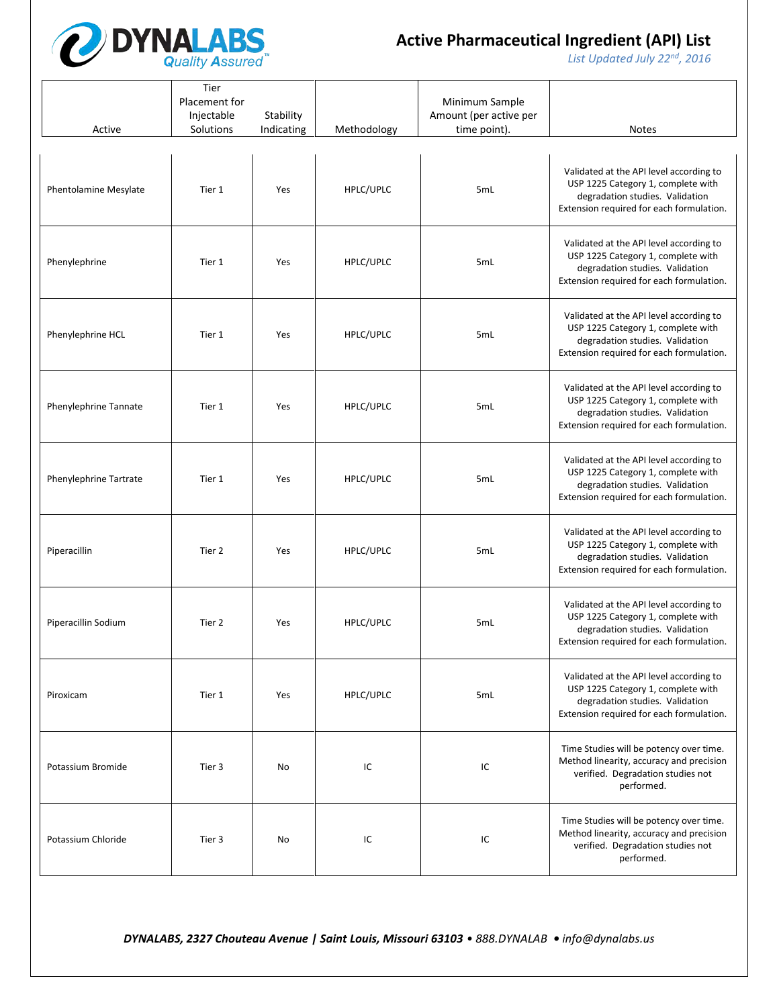

*List Updated July 22nd, 2016*

| Active                 | Tier<br>Placement for<br>Injectable<br>Solutions | Stability<br>Indicating | Methodology | Minimum Sample<br>Amount (per active per<br>time point). | <b>Notes</b>                                                                                                                                                 |
|------------------------|--------------------------------------------------|-------------------------|-------------|----------------------------------------------------------|--------------------------------------------------------------------------------------------------------------------------------------------------------------|
| Phentolamine Mesylate  | Tier 1                                           | Yes                     | HPLC/UPLC   | 5mL                                                      | Validated at the API level according to<br>USP 1225 Category 1, complete with<br>degradation studies. Validation<br>Extension required for each formulation. |
| Phenylephrine          | Tier 1                                           | Yes                     | HPLC/UPLC   | 5mL                                                      | Validated at the API level according to<br>USP 1225 Category 1, complete with<br>degradation studies. Validation<br>Extension required for each formulation. |
| Phenylephrine HCL      | Tier 1                                           | Yes                     | HPLC/UPLC   | 5mL                                                      | Validated at the API level according to<br>USP 1225 Category 1, complete with<br>degradation studies. Validation<br>Extension required for each formulation. |
| Phenylephrine Tannate  | Tier 1                                           | Yes                     | HPLC/UPLC   | 5mL                                                      | Validated at the API level according to<br>USP 1225 Category 1, complete with<br>degradation studies. Validation<br>Extension required for each formulation. |
| Phenylephrine Tartrate | Tier 1                                           | Yes                     | HPLC/UPLC   | 5mL                                                      | Validated at the API level according to<br>USP 1225 Category 1, complete with<br>degradation studies. Validation<br>Extension required for each formulation. |
| Piperacillin           | Tier 2                                           | Yes                     | HPLC/UPLC   | 5mL                                                      | Validated at the API level according to<br>USP 1225 Category 1, complete with<br>degradation studies. Validation<br>Extension required for each formulation. |
| Piperacillin Sodium    | Tier 2                                           | Yes                     | HPLC/UPLC   | 5mL                                                      | Validated at the API level according to<br>USP 1225 Category 1, complete with<br>degradation studies. Validation<br>Extension required for each formulation. |
| Piroxicam              | Tier 1                                           | Yes                     | HPLC/UPLC   | 5mL                                                      | Validated at the API level according to<br>USP 1225 Category 1, complete with<br>degradation studies. Validation<br>Extension required for each formulation. |
| Potassium Bromide      | Tier 3                                           | No                      | IC          | IC                                                       | Time Studies will be potency over time.<br>Method linearity, accuracy and precision<br>verified. Degradation studies not<br>performed.                       |
| Potassium Chloride     | Tier 3                                           | No                      | IC          | IC                                                       | Time Studies will be potency over time.<br>Method linearity, accuracy and precision<br>verified. Degradation studies not<br>performed.                       |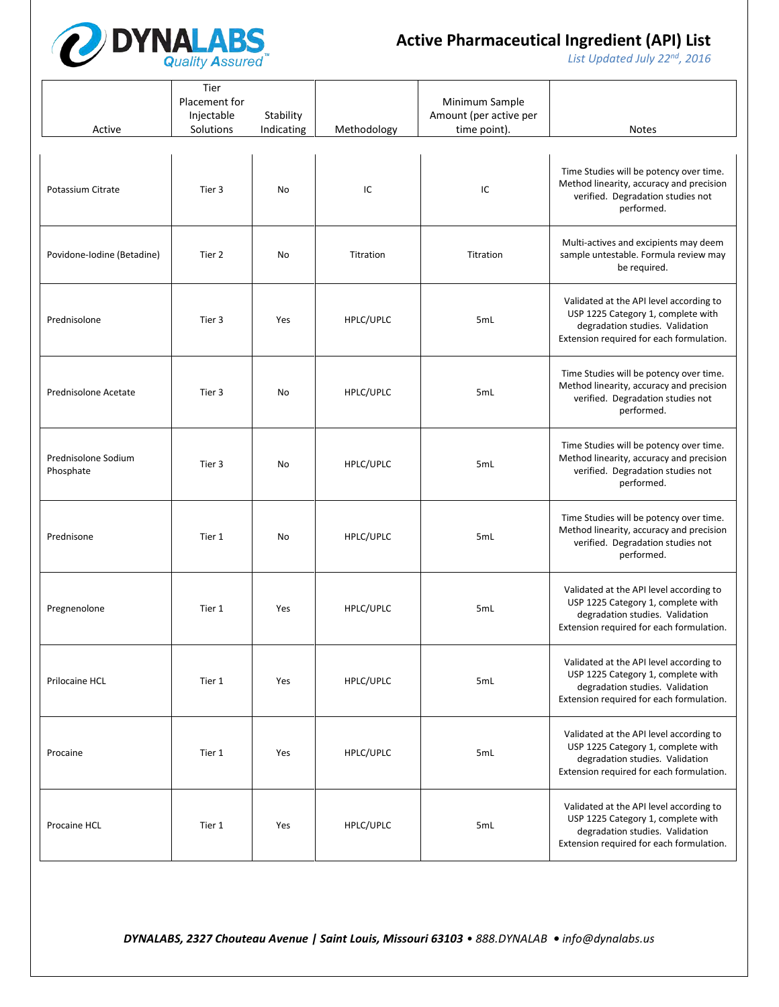

*List Updated July 22nd, 2016*

| Active                           | Tier<br>Placement for<br>Injectable<br>Solutions | Stability<br>Indicating | Methodology | Minimum Sample<br>Amount (per active per<br>time point). | <b>Notes</b>                                                                                                                                                 |
|----------------------------------|--------------------------------------------------|-------------------------|-------------|----------------------------------------------------------|--------------------------------------------------------------------------------------------------------------------------------------------------------------|
| Potassium Citrate                | Tier 3                                           | No                      | IC          | IC                                                       | Time Studies will be potency over time.<br>Method linearity, accuracy and precision<br>verified. Degradation studies not<br>performed.                       |
| Povidone-Iodine (Betadine)       | Tier 2                                           | No                      | Titration   | Titration                                                | Multi-actives and excipients may deem<br>sample untestable. Formula review may<br>be required.                                                               |
| Prednisolone                     | Tier 3                                           | Yes                     | HPLC/UPLC   | 5mL                                                      | Validated at the API level according to<br>USP 1225 Category 1, complete with<br>degradation studies. Validation<br>Extension required for each formulation. |
| Prednisolone Acetate             | Tier 3                                           | No                      | HPLC/UPLC   | 5mL                                                      | Time Studies will be potency over time.<br>Method linearity, accuracy and precision<br>verified. Degradation studies not<br>performed.                       |
| Prednisolone Sodium<br>Phosphate | Tier 3                                           | No                      | HPLC/UPLC   | 5mL                                                      | Time Studies will be potency over time.<br>Method linearity, accuracy and precision<br>verified. Degradation studies not<br>performed.                       |
| Prednisone                       | Tier 1                                           | No                      | HPLC/UPLC   | 5mL                                                      | Time Studies will be potency over time.<br>Method linearity, accuracy and precision<br>verified. Degradation studies not<br>performed.                       |
| Pregnenolone                     | Tier 1                                           | Yes                     | HPLC/UPLC   | 5mL                                                      | Validated at the API level according to<br>USP 1225 Category 1, complete with<br>degradation studies. Validation<br>Extension required for each formulation. |
| Prilocaine HCL                   | Tier 1                                           | Yes                     | HPLC/UPLC   | 5mL                                                      | Validated at the API level according to<br>USP 1225 Category 1, complete with<br>degradation studies. Validation<br>Extension required for each formulation. |
| Procaine                         | Tier 1                                           | Yes                     | HPLC/UPLC   | 5mL                                                      | Validated at the API level according to<br>USP 1225 Category 1, complete with<br>degradation studies. Validation<br>Extension required for each formulation. |
| Procaine HCL                     | Tier 1                                           | Yes                     | HPLC/UPLC   | 5mL                                                      | Validated at the API level according to<br>USP 1225 Category 1, complete with<br>degradation studies. Validation<br>Extension required for each formulation. |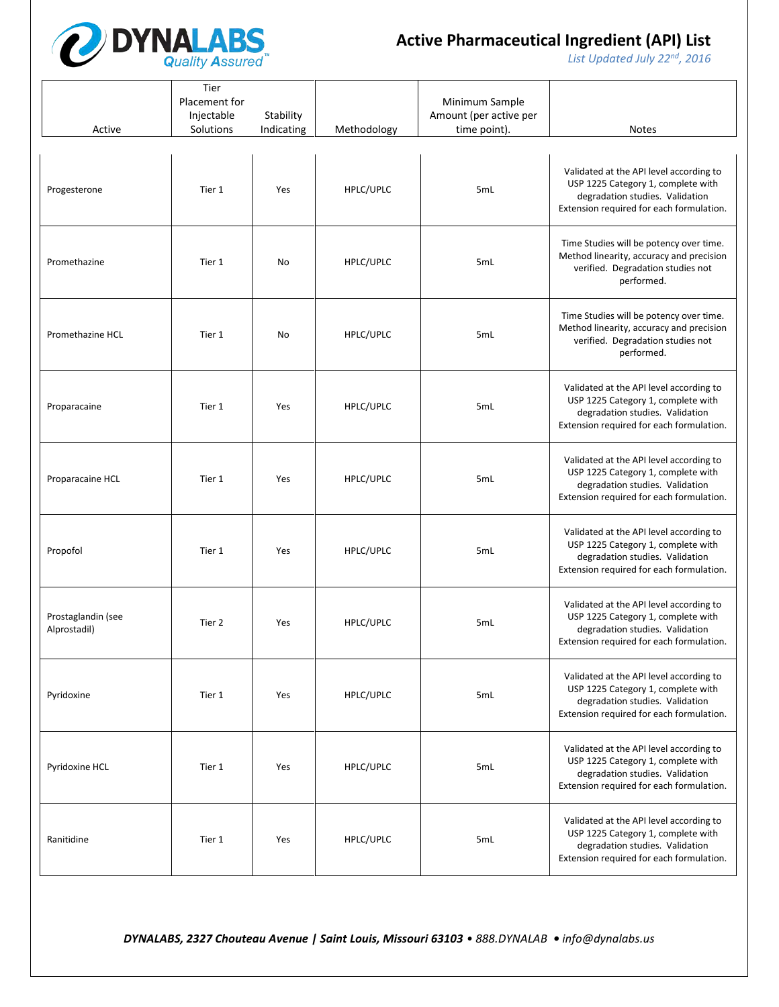

*List Updated July 22nd, 2016*

| Active                             | Tier<br>Placement for<br>Injectable<br>Solutions | Stability<br>Indicating | Methodology | Minimum Sample<br>Amount (per active per<br>time point). | <b>Notes</b>                                                                                                                                                 |
|------------------------------------|--------------------------------------------------|-------------------------|-------------|----------------------------------------------------------|--------------------------------------------------------------------------------------------------------------------------------------------------------------|
| Progesterone                       | Tier 1                                           | Yes                     | HPLC/UPLC   | 5mL                                                      | Validated at the API level according to<br>USP 1225 Category 1, complete with<br>degradation studies. Validation<br>Extension required for each formulation. |
| Promethazine                       | Tier 1                                           | No                      | HPLC/UPLC   | 5mL                                                      | Time Studies will be potency over time.<br>Method linearity, accuracy and precision<br>verified. Degradation studies not<br>performed.                       |
| Promethazine HCL                   | Tier 1                                           | No                      | HPLC/UPLC   | 5mL                                                      | Time Studies will be potency over time.<br>Method linearity, accuracy and precision<br>verified. Degradation studies not<br>performed.                       |
| Proparacaine                       | Tier 1                                           | Yes                     | HPLC/UPLC   | 5mL                                                      | Validated at the API level according to<br>USP 1225 Category 1, complete with<br>degradation studies. Validation<br>Extension required for each formulation. |
| Proparacaine HCL                   | Tier 1                                           | Yes                     | HPLC/UPLC   | 5mL                                                      | Validated at the API level according to<br>USP 1225 Category 1, complete with<br>degradation studies. Validation<br>Extension required for each formulation. |
| Propofol                           | Tier 1                                           | Yes                     | HPLC/UPLC   | 5mL                                                      | Validated at the API level according to<br>USP 1225 Category 1, complete with<br>degradation studies. Validation<br>Extension required for each formulation. |
| Prostaglandin (see<br>Alprostadil) | Tier 2                                           | Yes                     | HPLC/UPLC   | 5mL                                                      | Validated at the API level according to<br>USP 1225 Category 1, complete with<br>degradation studies. Validation<br>Extension required for each formulation. |
| Pyridoxine                         | Tier 1                                           | Yes                     | HPLC/UPLC   | 5mL                                                      | Validated at the API level according to<br>USP 1225 Category 1, complete with<br>degradation studies. Validation<br>Extension required for each formulation. |
| Pyridoxine HCL                     | Tier 1                                           | Yes                     | HPLC/UPLC   | 5mL                                                      | Validated at the API level according to<br>USP 1225 Category 1, complete with<br>degradation studies. Validation<br>Extension required for each formulation. |
| Ranitidine                         | Tier 1                                           | Yes                     | HPLC/UPLC   | 5mL                                                      | Validated at the API level according to<br>USP 1225 Category 1, complete with<br>degradation studies. Validation<br>Extension required for each formulation. |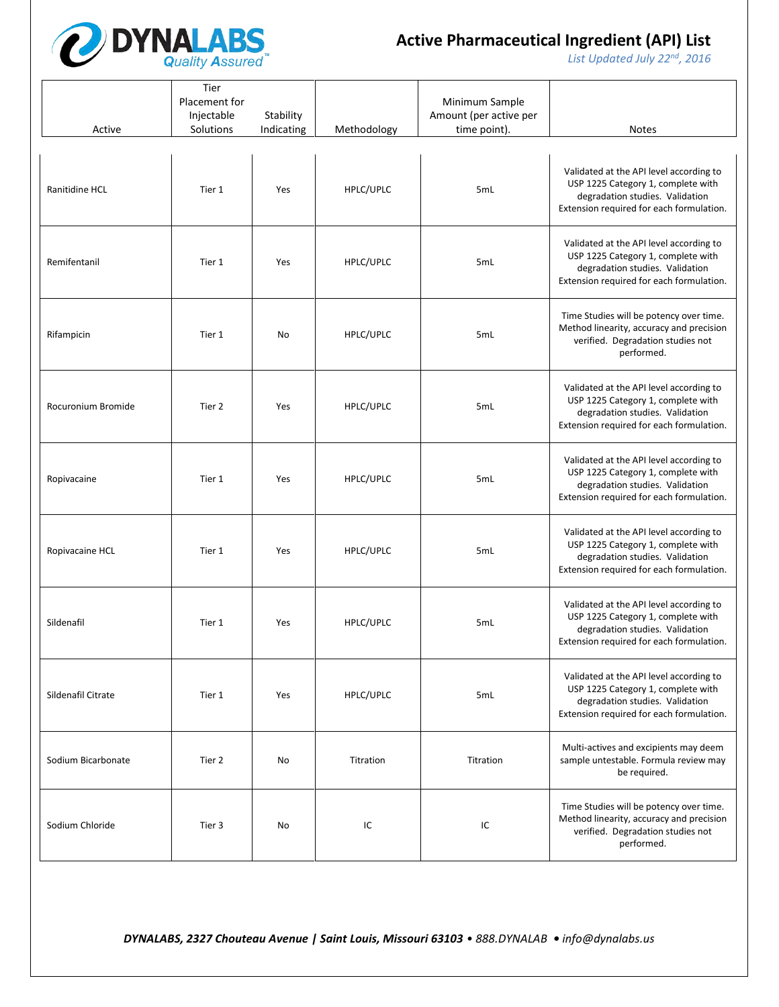

*List Updated July 22nd, 2016*

| Active             | Tier<br>Placement for<br>Injectable<br>Solutions | Stability<br>Indicating | Methodology | Minimum Sample<br>Amount (per active per<br>time point). | <b>Notes</b>                                                                                                                                                 |
|--------------------|--------------------------------------------------|-------------------------|-------------|----------------------------------------------------------|--------------------------------------------------------------------------------------------------------------------------------------------------------------|
| Ranitidine HCL     | Tier 1                                           | Yes                     | HPLC/UPLC   | 5mL                                                      | Validated at the API level according to<br>USP 1225 Category 1, complete with<br>degradation studies. Validation<br>Extension required for each formulation. |
| Remifentanil       | Tier 1                                           | Yes                     | HPLC/UPLC   | 5mL                                                      | Validated at the API level according to<br>USP 1225 Category 1, complete with<br>degradation studies. Validation<br>Extension required for each formulation. |
| Rifampicin         | Tier 1                                           | No                      | HPLC/UPLC   | 5mL                                                      | Time Studies will be potency over time.<br>Method linearity, accuracy and precision<br>verified. Degradation studies not<br>performed.                       |
| Rocuronium Bromide | Tier 2                                           | Yes                     | HPLC/UPLC   | 5mL                                                      | Validated at the API level according to<br>USP 1225 Category 1, complete with<br>degradation studies. Validation<br>Extension required for each formulation. |
| Ropivacaine        | Tier 1                                           | Yes                     | HPLC/UPLC   | 5mL                                                      | Validated at the API level according to<br>USP 1225 Category 1, complete with<br>degradation studies. Validation<br>Extension required for each formulation. |
| Ropivacaine HCL    | Tier 1                                           | Yes                     | HPLC/UPLC   | 5mL                                                      | Validated at the API level according to<br>USP 1225 Category 1, complete with<br>degradation studies. Validation<br>Extension required for each formulation. |
| Sildenafil         | Tier 1                                           | Yes                     | HPLC/UPLC   | 5mL                                                      | Validated at the API level according to<br>USP 1225 Category 1, complete with<br>degradation studies. Validation<br>Extension required for each formulation. |
| Sildenafil Citrate | Tier 1                                           | Yes                     | HPLC/UPLC   | 5mL                                                      | Validated at the API level according to<br>USP 1225 Category 1, complete with<br>degradation studies. Validation<br>Extension required for each formulation. |
| Sodium Bicarbonate | Tier 2                                           | No                      | Titration   | Titration                                                | Multi-actives and excipients may deem<br>sample untestable. Formula review may<br>be required.                                                               |
| Sodium Chloride    | Tier 3                                           | No                      | IC          | IC                                                       | Time Studies will be potency over time.<br>Method linearity, accuracy and precision<br>verified. Degradation studies not<br>performed.                       |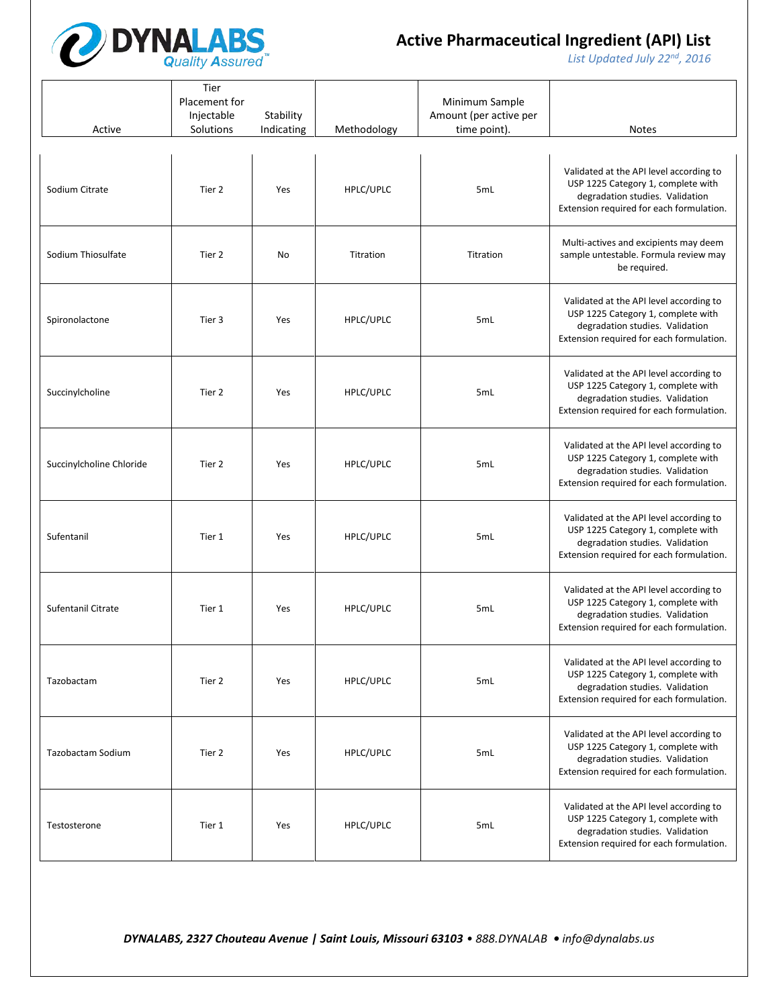

*List Updated July 22nd, 2016*

| Active                   | Tier<br>Placement for<br>Injectable<br>Solutions | Stability<br>Indicating | Methodology | Minimum Sample<br>Amount (per active per<br>time point). | <b>Notes</b>                                                                                                                                                 |
|--------------------------|--------------------------------------------------|-------------------------|-------------|----------------------------------------------------------|--------------------------------------------------------------------------------------------------------------------------------------------------------------|
| Sodium Citrate           | Tier 2                                           | Yes                     | HPLC/UPLC   | 5mL                                                      | Validated at the API level according to<br>USP 1225 Category 1, complete with<br>degradation studies. Validation<br>Extension required for each formulation. |
| Sodium Thiosulfate       | Tier 2                                           | No                      | Titration   | Titration                                                | Multi-actives and excipients may deem<br>sample untestable. Formula review may<br>be required.                                                               |
| Spironolactone           | Tier 3                                           | Yes                     | HPLC/UPLC   | 5mL                                                      | Validated at the API level according to<br>USP 1225 Category 1, complete with<br>degradation studies. Validation<br>Extension required for each formulation. |
| Succinylcholine          | Tier 2                                           | Yes                     | HPLC/UPLC   | 5mL                                                      | Validated at the API level according to<br>USP 1225 Category 1, complete with<br>degradation studies. Validation<br>Extension required for each formulation. |
| Succinylcholine Chloride | Tier 2                                           | Yes                     | HPLC/UPLC   | 5mL                                                      | Validated at the API level according to<br>USP 1225 Category 1, complete with<br>degradation studies. Validation<br>Extension required for each formulation. |
| Sufentanil               | Tier 1                                           | Yes                     | HPLC/UPLC   | 5mL                                                      | Validated at the API level according to<br>USP 1225 Category 1, complete with<br>degradation studies. Validation<br>Extension required for each formulation. |
| Sufentanil Citrate       | Tier 1                                           | Yes                     | HPLC/UPLC   | 5mL                                                      | Validated at the API level according to<br>USP 1225 Category 1, complete with<br>degradation studies. Validation<br>Extension required for each formulation. |
| Tazobactam               | Tier 2                                           | Yes                     | HPLC/UPLC   | 5mL                                                      | Validated at the API level according to<br>USP 1225 Category 1, complete with<br>degradation studies. Validation<br>Extension required for each formulation. |
| Tazobactam Sodium        | Tier 2                                           | Yes                     | HPLC/UPLC   | 5mL                                                      | Validated at the API level according to<br>USP 1225 Category 1, complete with<br>degradation studies. Validation<br>Extension required for each formulation. |
| Testosterone             | Tier 1                                           | Yes                     | HPLC/UPLC   | 5mL                                                      | Validated at the API level according to<br>USP 1225 Category 1, complete with<br>degradation studies. Validation<br>Extension required for each formulation. |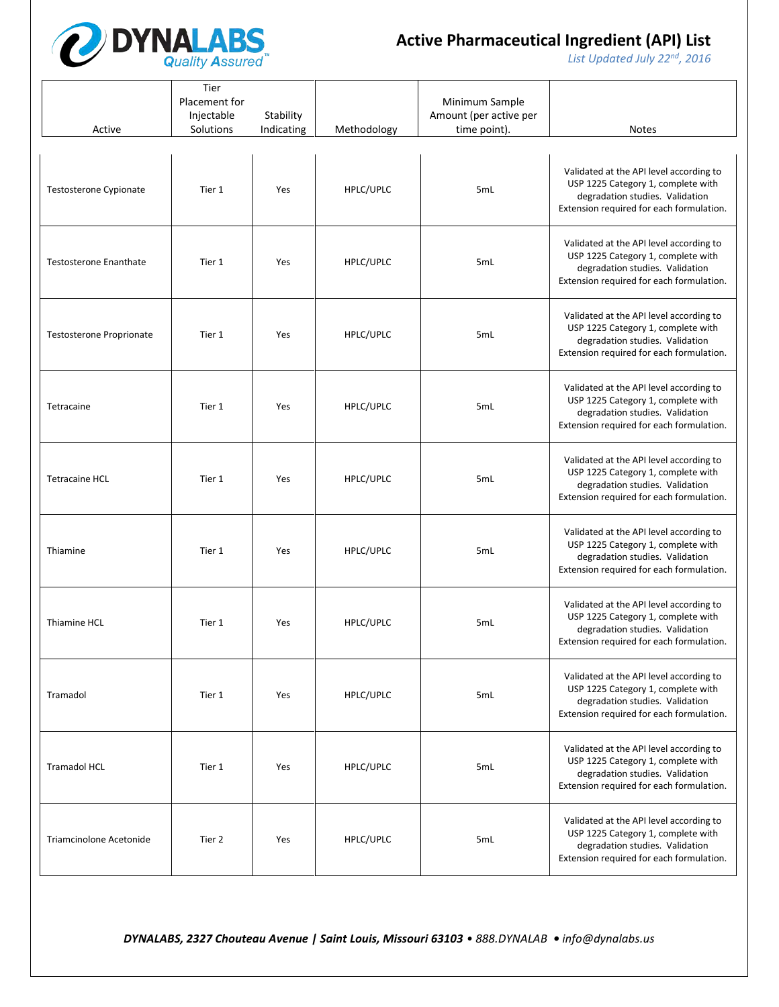

*List Updated July 22nd, 2016*

| Active                          | Tier<br>Placement for<br>Injectable<br>Solutions | Stability<br>Indicating | Methodology | Minimum Sample<br>Amount (per active per<br>time point). | Notes                                                                                                                                                        |
|---------------------------------|--------------------------------------------------|-------------------------|-------------|----------------------------------------------------------|--------------------------------------------------------------------------------------------------------------------------------------------------------------|
| Testosterone Cypionate          | Tier 1                                           | Yes                     | HPLC/UPLC   | 5mL                                                      | Validated at the API level according to<br>USP 1225 Category 1, complete with<br>degradation studies. Validation<br>Extension required for each formulation. |
| <b>Testosterone Enanthate</b>   | Tier 1                                           | Yes                     | HPLC/UPLC   | 5mL                                                      | Validated at the API level according to<br>USP 1225 Category 1, complete with<br>degradation studies. Validation<br>Extension required for each formulation. |
| <b>Testosterone Proprionate</b> | Tier 1                                           | Yes                     | HPLC/UPLC   | 5mL                                                      | Validated at the API level according to<br>USP 1225 Category 1, complete with<br>degradation studies. Validation<br>Extension required for each formulation. |
| Tetracaine                      | Tier 1                                           | Yes                     | HPLC/UPLC   | 5mL                                                      | Validated at the API level according to<br>USP 1225 Category 1, complete with<br>degradation studies. Validation<br>Extension required for each formulation. |
| <b>Tetracaine HCL</b>           | Tier 1                                           | Yes                     | HPLC/UPLC   | 5mL                                                      | Validated at the API level according to<br>USP 1225 Category 1, complete with<br>degradation studies. Validation<br>Extension required for each formulation. |
| Thiamine                        | Tier 1                                           | Yes                     | HPLC/UPLC   | 5mL                                                      | Validated at the API level according to<br>USP 1225 Category 1, complete with<br>degradation studies. Validation<br>Extension required for each formulation. |
| Thiamine HCL                    | Tier 1                                           | Yes                     | HPLC/UPLC   | 5mL                                                      | Validated at the API level according to<br>USP 1225 Category 1, complete with<br>degradation studies. Validation<br>Extension required for each formulation. |
| Tramadol                        | Tier 1                                           | Yes                     | HPLC/UPLC   | 5mL                                                      | Validated at the API level according to<br>USP 1225 Category 1, complete with<br>degradation studies. Validation<br>Extension required for each formulation. |
| <b>Tramadol HCL</b>             | Tier 1                                           | Yes                     | HPLC/UPLC   | 5mL                                                      | Validated at the API level according to<br>USP 1225 Category 1, complete with<br>degradation studies. Validation<br>Extension required for each formulation. |
| Triamcinolone Acetonide         | Tier 2                                           | Yes                     | HPLC/UPLC   | 5mL                                                      | Validated at the API level according to<br>USP 1225 Category 1, complete with<br>degradation studies. Validation<br>Extension required for each formulation. |